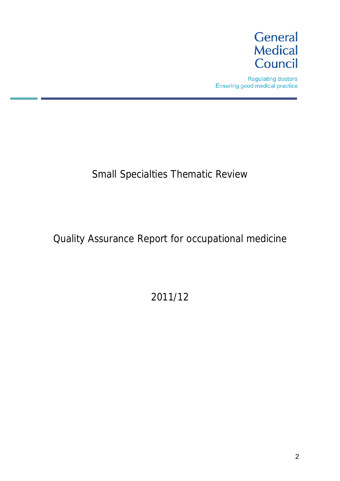

**Regulating doctors** Ensuring good medical practice

# Small Specialties Thematic Review

# Quality Assurance Report for occupational medicine

# 2011/12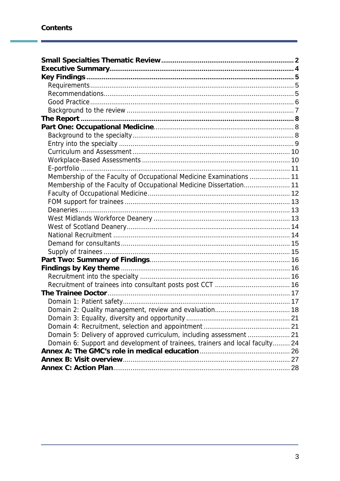Ï

| Membership of the Faculty of Occupational Medicine Examinations  11          |  |
|------------------------------------------------------------------------------|--|
| Membership of the Faculty of Occupational Medicine Dissertation 11           |  |
|                                                                              |  |
|                                                                              |  |
|                                                                              |  |
|                                                                              |  |
|                                                                              |  |
|                                                                              |  |
|                                                                              |  |
|                                                                              |  |
|                                                                              |  |
|                                                                              |  |
|                                                                              |  |
|                                                                              |  |
|                                                                              |  |
|                                                                              |  |
|                                                                              |  |
|                                                                              |  |
|                                                                              |  |
| Domain 5: Delivery of approved curriculum, including assessment  21          |  |
| Domain 6: Support and development of trainees, trainers and local faculty 24 |  |
|                                                                              |  |
|                                                                              |  |
|                                                                              |  |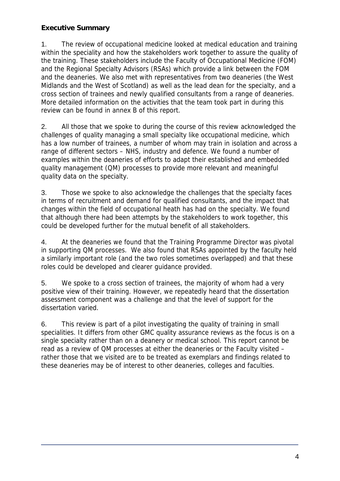# **Executive Summary**

1. The review of occupational medicine looked at medical education and training within the speciality and how the stakeholders work together to assure the quality of the training. These stakeholders include the Faculty of Occupational Medicine (FOM) and the Regional Specialty Advisors (RSAs) which provide a link between the FOM and the deaneries. We also met with representatives from two deaneries (the West Midlands and the West of Scotland) as well as the lead dean for the specialty, and a cross section of trainees and newly qualified consultants from a range of deaneries. More detailed information on the activities that the team took part in during this review can be found in annex B of this report.

2. All those that we spoke to during the course of this review acknowledged the challenges of quality managing a small specialty like occupational medicine, which has a low number of trainees, a number of whom may train in isolation and across a range of different sectors – NHS, industry and defence. We found a number of examples within the deaneries of efforts to adapt their established and embedded quality management (QM) processes to provide more relevant and meaningful quality data on the specialty.

3. Those we spoke to also acknowledge the challenges that the specialty faces in terms of recruitment and demand for qualified consultants, and the impact that changes within the field of occupational heath has had on the specialty. We found that although there had been attempts by the stakeholders to work together, this could be developed further for the mutual benefit of all stakeholders.

4. At the deaneries we found that the Training Programme Director was pivotal in supporting QM processes. We also found that RSAs appointed by the faculty held a similarly important role (and the two roles sometimes overlapped) and that these roles could be developed and clearer guidance provided.

5. We spoke to a cross section of trainees, the majority of whom had a very positive view of their training. However, we repeatedly heard that the dissertation assessment component was a challenge and that the level of support for the dissertation varied.

6. This review is part of a pilot investigating the quality of training in small specialities. It differs from other GMC quality assurance reviews as the focus is on a single specialty rather than on a deanery or medical school. This report cannot be read as a review of QM processes at either the deaneries or the Faculty visited – rather those that we visited are to be treated as exemplars and findings related to these deaneries may be of interest to other deaneries, colleges and faculties.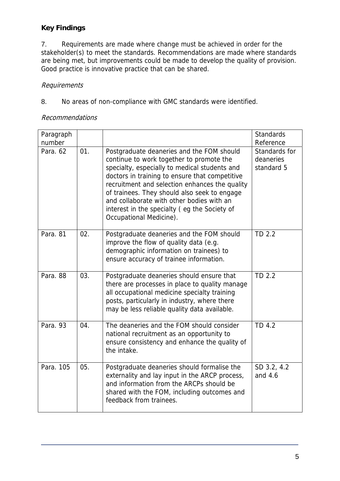# **Key Findings**

7. Requirements are made where change must be achieved in order for the stakeholder(s) to meet the standards. Recommendations are made where standards are being met, but improvements could be made to develop the quality of provision. Good practice is innovative practice that can be shared.

### Requirements

8. No areas of non-compliance with GMC standards were identified.

### Recommendations

| Paragraph<br>number |     |                                                                                                                                                                                                                                                                                                                                                                                                                    | <b>Standards</b><br>Reference            |
|---------------------|-----|--------------------------------------------------------------------------------------------------------------------------------------------------------------------------------------------------------------------------------------------------------------------------------------------------------------------------------------------------------------------------------------------------------------------|------------------------------------------|
| Para, 62            | 01. | Postgraduate deaneries and the FOM should<br>continue to work together to promote the<br>specialty, especially to medical students and<br>doctors in training to ensure that competitive<br>recruitment and selection enhances the quality<br>of trainees. They should also seek to engage<br>and collaborate with other bodies with an<br>interest in the specialty (eg the Society of<br>Occupational Medicine). | Standards for<br>deaneries<br>standard 5 |
| Para, 81            | 02. | Postgraduate deaneries and the FOM should<br>improve the flow of quality data (e.g.<br>demographic information on trainees) to<br>ensure accuracy of trainee information.                                                                                                                                                                                                                                          | TD 2.2                                   |
| Para, 88            | 03. | Postgraduate deaneries should ensure that<br>there are processes in place to quality manage<br>all occupational medicine specialty training<br>posts, particularly in industry, where there<br>may be less reliable quality data available.                                                                                                                                                                        | TD 2.2                                   |
| Para, 93            | 04. | The deaneries and the FOM should consider<br>national recruitment as an opportunity to<br>ensure consistency and enhance the quality of<br>the intake.                                                                                                                                                                                                                                                             | TD 4.2                                   |
| Para, 105           | 05. | Postgraduate deaneries should formalise the<br>externality and lay input in the ARCP process,<br>and information from the ARCPs should be<br>shared with the FOM, including outcomes and<br>feedback from trainees.                                                                                                                                                                                                | SD 3.2, 4.2<br>and $4.6$                 |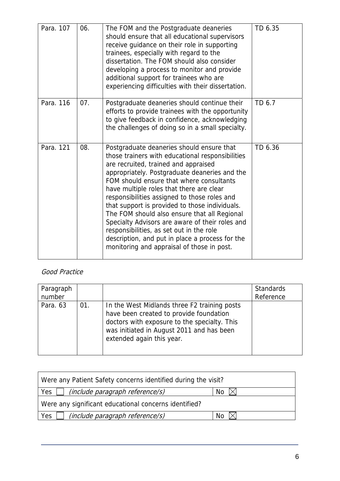| Para. 107 | 06. | The FOM and the Postgraduate deaneries<br>should ensure that all educational supervisors<br>receive guidance on their role in supporting<br>trainees, especially with regard to the<br>dissertation. The FOM should also consider<br>developing a process to monitor and provide<br>additional support for trainees who are<br>experiencing difficulties with their dissertation.                                                                                                                                                                                                                                                | TD 6.35 |
|-----------|-----|----------------------------------------------------------------------------------------------------------------------------------------------------------------------------------------------------------------------------------------------------------------------------------------------------------------------------------------------------------------------------------------------------------------------------------------------------------------------------------------------------------------------------------------------------------------------------------------------------------------------------------|---------|
| Para, 116 | 07. | Postgraduate deaneries should continue their<br>efforts to provide trainees with the opportunity<br>to give feedback in confidence, acknowledging<br>the challenges of doing so in a small specialty.                                                                                                                                                                                                                                                                                                                                                                                                                            | TD 6.7  |
| Para, 121 | 08. | Postgraduate deaneries should ensure that<br>those trainers with educational responsibilities<br>are recruited, trained and appraised<br>appropriately. Postgraduate deaneries and the<br>FOM should ensure that where consultants<br>have multiple roles that there are clear<br>responsibilities assigned to those roles and<br>that support is provided to those individuals.<br>The FOM should also ensure that all Regional<br>Specialty Advisors are aware of their roles and<br>responsibilities, as set out in the role<br>description, and put in place a process for the<br>monitoring and appraisal of those in post. | TD 6.36 |

# Good Practice

| Paragraph<br>number |     |                                                                                                                                                                                                                   | <b>Standards</b><br>Reference |
|---------------------|-----|-------------------------------------------------------------------------------------------------------------------------------------------------------------------------------------------------------------------|-------------------------------|
| Para. 63            | 01. | In the West Midlands three F2 training posts<br>have been created to provide foundation<br>doctors with exposure to the specialty. This<br>was initiated in August 2011 and has been<br>extended again this year. |                               |

| Were any Patient Safety concerns identified during the visit? |    |  |  |  |
|---------------------------------------------------------------|----|--|--|--|
| (include paragraph reference/s)<br>Yes $\vert \ \vert$        | Nο |  |  |  |
| Were any significant educational concerns identified?         |    |  |  |  |
| (include paragraph reference/s)<br>Yes                        | No |  |  |  |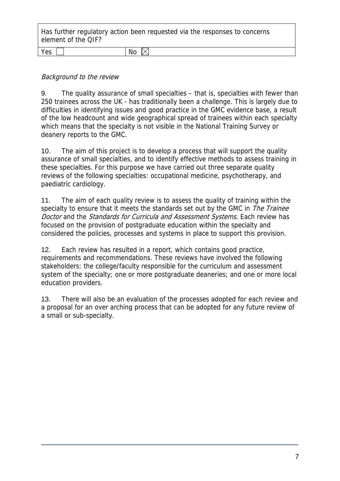Has further regulatory action been requested via the responses to concerns element of the QIF?

| <u>u.</u> | w |
|-----------|---|
|           |   |

### Background to the review

9. The quality assurance of small specialties – that is, specialties with fewer than 250 trainees across the UK - has traditionally been a challenge. This is largely due to difficulties in identifying issues and good practice in the GMC evidence base, a result of the low headcount and wide geographical spread of trainees within each specialty which means that the specialty is not visible in the National Training Survey or deanery reports to the GMC.

10. The aim of this project is to develop a process that will support the quality assurance of small specialties, and to identify effective methods to assess training in these specialties. For this purpose we have carried out three separate quality reviews of the following specialties: occupational medicine, psychotherapy, and paediatric cardiology.

11. The aim of each quality review is to assess the quality of training within the specialty to ensure that it meets the standards set out by the GMC in The Trainee Doctor and the Standards for Curricula and Assessment Systems. Each review has focused on the provision of postgraduate education within the specialty and considered the policies, processes and systems in place to support this provision.

12. Each review has resulted in a report, which contains good practice, requirements and recommendations. These reviews have involved the following stakeholders: the college/faculty responsible for the curriculum and assessment system of the specialty; one or more postgraduate deaneries; and one or more local education providers.

13. There will also be an evaluation of the processes adopted for each review and a proposal for an over arching process that can be adopted for any future review of a small or sub-specialty.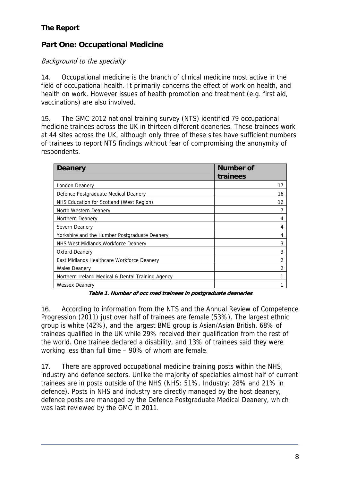# **The Report**

# **Part One: Occupational Medicine**

# Background to the specialty

14. Occupational medicine is the branch of clinical medicine most active in the field of occupational health. It primarily concerns the effect of work on health, and health on work. However issues of health promotion and treatment (e.g. first aid, vaccinations) are also involved.

15. The GMC 2012 national training survey (NTS) identified 79 occupational medicine trainees across the UK in thirteen different deaneries. These trainees work at 44 sites across the UK, although only three of these sites have sufficient numbers of trainees to report NTS findings without fear of compromising the anonymity of respondents.

| <b>Deanery</b>                                    | <b>Number of</b><br>trainees |
|---------------------------------------------------|------------------------------|
| London Deanery                                    | 17                           |
| Defence Postgraduate Medical Deanery              | 16                           |
| NHS Education for Scotland (West Region)          | 12                           |
| North Western Deanery                             |                              |
| Northern Deanery                                  | 4                            |
| Severn Deanery                                    | 4                            |
| Yorkshire and the Humber Postgraduate Deanery     | 4                            |
| NHS West Midlands Workforce Deanery               | 3                            |
| Oxford Deanery                                    | 3                            |
| East Midlands Healthcare Workforce Deanery        | 2                            |
| <b>Wales Deanery</b>                              | 2                            |
| Northern Ireland Medical & Dental Training Agency |                              |
| <b>Wessex Deanery</b>                             |                              |

**Table 1. Number of occ med trainees in postgraduate deaneries** 

16. According to information from the NTS and the Annual Review of Competence Progression (2011) just over half of trainees are female (53%). The largest ethnic group is white (42%), and the largest BME group is Asian/Asian British. 68% of trainees qualified in the UK while 29% received their qualification from the rest of the world. One trainee declared a disability, and 13% of trainees said they were working less than full time – 90% of whom are female.

17. There are approved occupational medicine training posts within the NHS, industry and defence sectors. Unlike the majority of specialties almost half of current trainees are in posts outside of the NHS (NHS: 51%, Industry: 28% and 21% in defence). Posts in NHS and industry are directly managed by the host deanery, defence posts are managed by the Defence Postgraduate Medical Deanery, which was last reviewed by the GMC in 2011.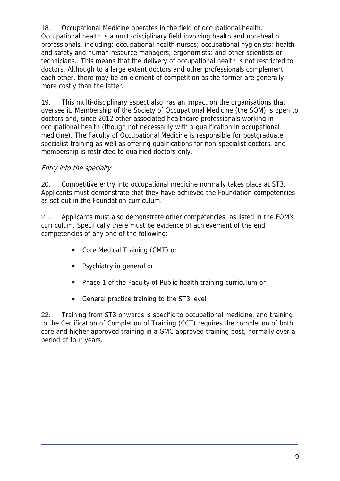18. Occupational Medicine operates in the field of occupational health. Occupational health is a multi-disciplinary field involving health and non-health professionals, including: occupational health nurses; occupational hygienists; health and safety and human resource managers; ergonomists; and other scientists or technicians. This means that the delivery of occupational health is not restricted to doctors. Although to a large extent doctors and other professionals complement each other, there may be an element of competition as the former are generally more costly than the latter.

19. This multi-disciplinary aspect also has an impact on the organisations that oversee it. Membership of the Society of Occupational Medicine (the SOM) is open to doctors and, since 2012 other associated healthcare professionals working in occupational health (though not necessarily with a qualification in occupational medicine). The Faculty of Occupational Medicine is responsible for postgraduate specialist training as well as offering qualifications for non-specialist doctors, and membership is restricted to qualified doctors only.

# Entry into the specialty

20. Competitive entry into occupational medicine normally takes place at ST3. Applicants must demonstrate that they have achieved the Foundation competencies as set out in the Foundation curriculum.

21. Applicants must also demonstrate other competencies, as listed in the FOM's curriculum. Specifically there must be evidence of achievement of the end competencies of any one of the following:

- Core Medical Training (CMT) or
- **Psychiatry in general or**
- Phase 1 of the Faculty of Public health training curriculum or
- General practice training to the ST3 level.

22. Training from ST3 onwards is specific to occupational medicine, and training to the Certification of Completion of Training (CCT) requires the completion of both core and higher approved training in a GMC approved training post, normally over a period of four years.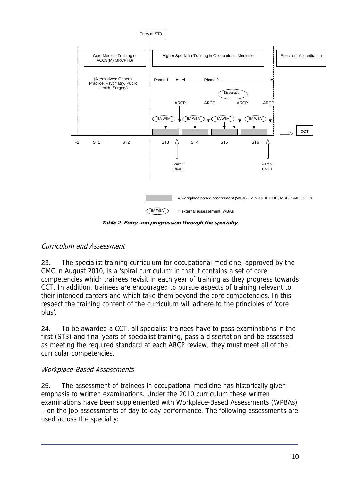

**Table 2. Entry and progression through the specialty.**

# Curriculum and Assessment

23. The specialist training curriculum for occupational medicine, approved by the GMC in August 2010, is a 'spiral curriculum' in that it contains a set of core competencies which trainees revisit in each year of training as they progress towards CCT. In addition, trainees are encouraged to pursue aspects of training relevant to their intended careers and which take them beyond the core competencies. In this respect the training content of the curriculum will adhere to the principles of 'core plus'.

24. To be awarded a CCT, all specialist trainees have to pass examinations in the first (ST3) and final years of specialist training, pass a dissertation and be assessed as meeting the required standard at each ARCP review; they must meet all of the curricular competencies.

# Workplace-Based Assessments

25. The assessment of trainees in occupational medicine has historically given emphasis to written examinations. Under the 2010 curriculum these written examinations have been supplemented with Workplace-Based Assessments (WPBAs) – on the job assessments of day-to-day performance. The following assessments are used across the specialty: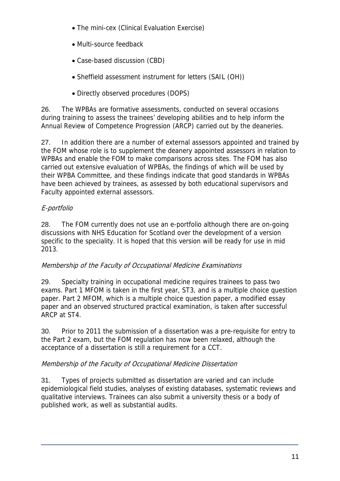- The mini-cex (Clinical Evaluation Exercise)
- Multi-source feedback
- Case-based discussion (CBD)
- Sheffield assessment instrument for letters (SAIL (OH))
- Directly observed procedures (DOPS)

26. The WPBAs are formative assessments, conducted on several occasions during training to assess the trainees' developing abilities and to help inform the Annual Review of Competence Progression (ARCP) carried out by the deaneries.

27. In addition there are a number of external assessors appointed and trained by the FOM whose role is to supplement the deanery appointed assessors in relation to WPBAs and enable the FOM to make comparisons across sites. The FOM has also carried out extensive evaluation of WPBAs, the findings of which will be used by their WPBA Committee, and these findings indicate that good standards in WPBAs have been achieved by trainees, as assessed by both educational supervisors and Faculty appointed external assessors.

# E-portfolio

28. The FOM currently does not use an e-portfolio although there are on-going discussions with NHS Education for Scotland over the development of a version specific to the speciality. It is hoped that this version will be ready for use in mid 2013.

# Membership of the Faculty of Occupational Medicine Examinations

29. Specialty training in occupational medicine requires trainees to pass two exams. Part 1 MFOM is taken in the first year, ST3, and is a multiple choice question paper. Part 2 MFOM, which is a multiple choice question paper, a modified essay paper and an observed structured practical examination, is taken after successful ARCP at ST4.

30. Prior to 2011 the submission of a dissertation was a pre-requisite for entry to the Part 2 exam, but the FOM regulation has now been relaxed, although the acceptance of a dissertation is still a requirement for a CCT.

# Membership of the Faculty of Occupational Medicine Dissertation

31. Types of projects submitted as dissertation are varied and can include epidemiological field studies, analyses of existing databases, systematic reviews and qualitative interviews. Trainees can also submit a university thesis or a body of published work, as well as substantial audits.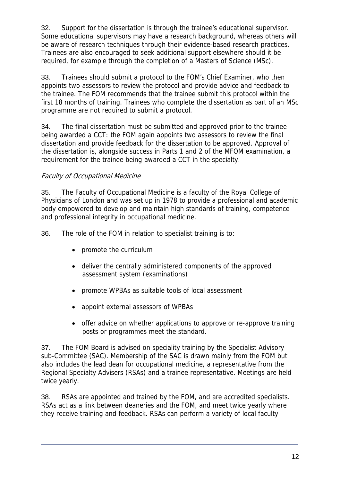32. Support for the dissertation is through the trainee's educational supervisor. Some educational supervisors may have a research background, whereas others will be aware of research techniques through their evidence-based research practices. Trainees are also encouraged to seek additional support elsewhere should it be required, for example through the completion of a Masters of Science (MSc).

33. Trainees should submit a protocol to the FOM's Chief Examiner, who then appoints two assessors to review the protocol and provide advice and feedback to the trainee. The FOM recommends that the trainee submit this protocol within the first 18 months of training. Trainees who complete the dissertation as part of an MSc programme are not required to submit a protocol.

34. The final dissertation must be submitted and approved prior to the trainee being awarded a CCT: the FOM again appoints two assessors to review the final dissertation and provide feedback for the dissertation to be approved. Approval of the dissertation is, alongside success in Parts 1 and 2 of the MFOM examination, a requirement for the trainee being awarded a CCT in the specialty.

# Faculty of Occupational Medicine

35. The Faculty of Occupational Medicine is a faculty of the Royal College of Physicians of London and was set up in 1978 to provide a professional and academic body empowered to develop and maintain high standards of training, competence and professional integrity in occupational medicine.

36. The role of the FOM in relation to specialist training is to:

- promote the curriculum
- deliver the centrally administered components of the approved assessment system (examinations)
- promote WPBAs as suitable tools of local assessment
- appoint external assessors of WPBAs
- offer advice on whether applications to approve or re-approve training posts or programmes meet the standard.

37. The FOM Board is advised on speciality training by the Specialist Advisory sub-Committee (SAC). Membership of the SAC is drawn mainly from the FOM but also includes the lead dean for occupational medicine, a representative from the Regional Specialty Advisers (RSAs) and a trainee representative. Meetings are held twice yearly.

38. RSAs are appointed and trained by the FOM, and are accredited specialists. RSAs act as a link between deaneries and the FOM, and meet twice yearly where they receive training and feedback. RSAs can perform a variety of local faculty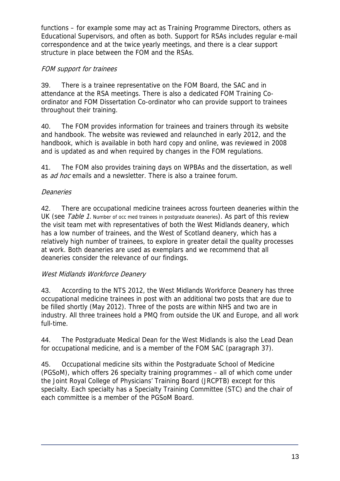functions – for example some may act as Training Programme Directors, others as Educational Supervisors, and often as both. Support for RSAs includes regular e-mail correspondence and at the twice yearly meetings, and there is a clear support structure in place between the FOM and the RSAs.

# FOM support for trainees

39. There is a trainee representative on the FOM Board, the SAC and in attendance at the RSA meetings. There is also a dedicated FOM Training Coordinator and FOM Dissertation Co-ordinator who can provide support to trainees throughout their training.

40. The FOM provides information for trainees and trainers through its website and handbook. The website was reviewed and relaunched in early 2012, and the handbook, which is available in both hard copy and online, was reviewed in 2008 and is updated as and when required by changes in the FOM regulations.

41. The FOM also provides training days on WPBAs and the dissertation, as well as *ad hoc* emails and a newsletter. There is also a trainee forum.

# **Deaneries**

42. There are occupational medicine trainees across fourteen deaneries within the UK (see Table 1. Number of occ med trainees in postgraduate deaneries). As part of this review the visit team met with representatives of both the West Midlands deanery, which has a low number of trainees, and the West of Scotland deanery, which has a relatively high number of trainees, to explore in greater detail the quality processes at work. Both deaneries are used as exemplars and we recommend that all deaneries consider the relevance of our findings.

# West Midlands Workforce Deanery

43. According to the NTS 2012, the West Midlands Workforce Deanery has three occupational medicine trainees in post with an additional two posts that are due to be filled shortly (May 2012). Three of the posts are within NHS and two are in industry. All three trainees hold a PMQ from outside the UK and Europe, and all work full-time.

44. The Postgraduate Medical Dean for the West Midlands is also the Lead Dean for occupational medicine, and is a member of the FOM SAC (paragraph 37).

45. Occupational medicine sits within the Postgraduate School of Medicine (PGSoM), which offers 26 specialty training programmes – all of which come under the Joint Royal College of Physicians' Training Board (JRCPTB) except for this specialty. Each specialty has a Specialty Training Committee (STC) and the chair of each committee is a member of the PGSoM Board.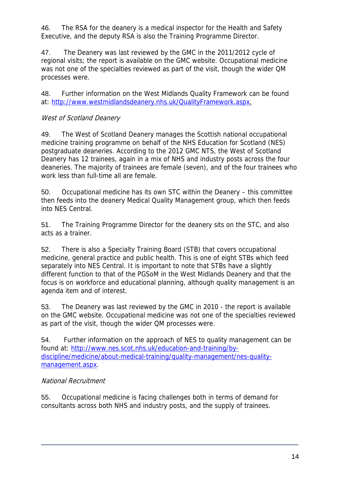46. The RSA for the deanery is a medical inspector for the Health and Safety Executive, and the deputy RSA is also the Training Programme Director.

47. The Deanery was last reviewed by the GMC in the 2011/2012 cycle of regional visits; the report is available on the GMC website. Occupational medicine was not one of the specialties reviewed as part of the visit, though the wider QM processes were.

48. Further information on the West Midlands Quality Framework can be found at: http://www.westmidlandsdeanery.nhs.uk/QualityFramework.aspx.

### West of Scotland Deanery

49. The West of Scotland Deanery manages the Scottish national occupational medicine training programme on behalf of the NHS Education for Scotland (NES) postgraduate deaneries. According to the 2012 GMC NTS, the West of Scotland Deanery has 12 trainees, again in a mix of NHS and industry posts across the four deaneries. The majority of trainees are female (seven), and of the four trainees who work less than full-time all are female.

50. Occupational medicine has its own STC within the Deanery – this committee then feeds into the deanery Medical Quality Management group, which then feeds into NES Central.

51. The Training Programme Director for the deanery sits on the STC, and also acts as a trainer.

52. There is also a Specialty Training Board (STB) that covers occupational medicine, general practice and public health. This is one of eight STBs which feed separately into NES Central. It is important to note that STBs have a slightly different function to that of the PGSoM in the West Midlands Deanery and that the focus is on workforce and educational planning, although quality management is an agenda item and of interest.

53. The Deanery was last reviewed by the GMC in 2010 - the report is available on the GMC website. Occupational medicine was not one of the specialties reviewed as part of the visit, though the wider QM processes were.

54. Further information on the approach of NES to quality management can be found at: http://www.nes.scot.nhs.uk/education-and-training/bydiscipline/medicine/about-medical-training/quality-management/nes-qualitymanagement.aspx.

### National Recruitment

55. Occupational medicine is facing challenges both in terms of demand for consultants across both NHS and industry posts, and the supply of trainees.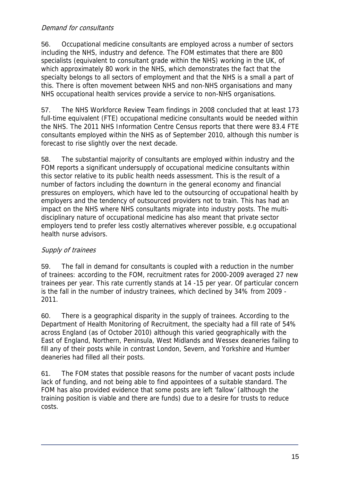### Demand for consultants

56. Occupational medicine consultants are employed across a number of sectors including the NHS, industry and defence. The FOM estimates that there are 800 specialists (equivalent to consultant grade within the NHS) working in the UK, of which approximately 80 work in the NHS, which demonstrates the fact that the specialty belongs to all sectors of employment and that the NHS is a small a part of this. There is often movement between NHS and non-NHS organisations and many NHS occupational health services provide a service to non-NHS organisations.

57. The NHS Workforce Review Team findings in 2008 concluded that at least 173 full-time equivalent (FTE) occupational medicine consultants would be needed within the NHS. The 2011 NHS Information Centre Census reports that there were 83.4 FTE consultants employed within the NHS as of September 2010, although this number is forecast to rise slightly over the next decade.

58. The substantial majority of consultants are employed within industry and the FOM reports a significant undersupply of occupational medicine consultants within this sector relative to its public health needs assessment. This is the result of a number of factors including the downturn in the general economy and financial pressures on employers, which have led to the outsourcing of occupational health by employers and the tendency of outsourced providers not to train. This has had an impact on the NHS where NHS consultants migrate into industry posts. The multidisciplinary nature of occupational medicine has also meant that private sector employers tend to prefer less costly alternatives wherever possible, e.g occupational health nurse advisors.

# Supply of trainees

59. The fall in demand for consultants is coupled with a reduction in the number of trainees: according to the FOM, recruitment rates for 2000-2009 averaged 27 new trainees per year. This rate currently stands at 14 -15 per year. Of particular concern is the fall in the number of industry trainees, which declined by 34% from 2009 - 2011.

60. There is a geographical disparity in the supply of trainees. According to the Department of Health Monitoring of Recruitment, the specialty had a fill rate of 54% across England (as of October 2010) although this varied geographically with the East of England, Northern, Peninsula, West Midlands and Wessex deaneries failing to fill any of their posts while in contrast London, Severn, and Yorkshire and Humber deaneries had filled all their posts.

61. The FOM states that possible reasons for the number of vacant posts include lack of funding, and not being able to find appointees of a suitable standard. The FOM has also provided evidence that some posts are left 'fallow' (although the training position is viable and there are funds) due to a desire for trusts to reduce costs.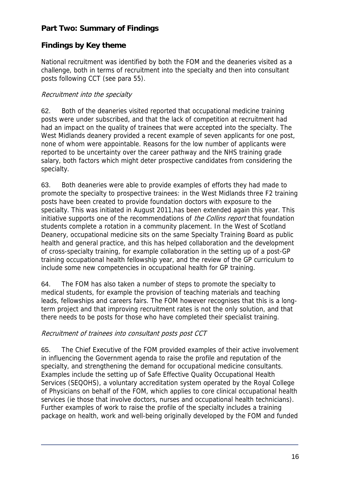# **Part Two: Summary of Findings**

# **Findings by Key theme**

National recruitment was identified by both the FOM and the deaneries visited as a challenge, both in terms of recruitment into the specialty and then into consultant posts following CCT (see para 55).

# Recruitment into the specialty

62. Both of the deaneries visited reported that occupational medicine training posts were under subscribed, and that the lack of competition at recruitment had had an impact on the quality of trainees that were accepted into the specialty. The West Midlands deanery provided a recent example of seven applicants for one post, none of whom were appointable. Reasons for the low number of applicants were reported to be uncertainty over the career pathway and the NHS training grade salary, both factors which might deter prospective candidates from considering the specialty.

63. Both deaneries were able to provide examples of efforts they had made to promote the specialty to prospective trainees: in the West Midlands three F2 training posts have been created to provide foundation doctors with exposure to the specialty. This was initiated in August 2011,has been extended again this year. This initiative supports one of the recommendations of *the Collins report* that foundation students complete a rotation in a community placement. In the West of Scotland Deanery, occupational medicine sits on the same Specialty Training Board as public health and general practice, and this has helped collaboration and the development of cross-specialty training, for example collaboration in the setting up of a post-GP training occupational health fellowship year, and the review of the GP curriculum to include some new competencies in occupational health for GP training.

64. The FOM has also taken a number of steps to promote the specialty to medical students, for example the provision of teaching materials and teaching leads, fellowships and careers fairs. The FOM however recognises that this is a longterm project and that improving recruitment rates is not the only solution, and that there needs to be posts for those who have completed their specialist training.

### Recruitment of trainees into consultant posts post CCT

65. The Chief Executive of the FOM provided examples of their active involvement in influencing the Government agenda to raise the profile and reputation of the specialty, and strengthening the demand for occupational medicine consultants. Examples include the setting up of Safe Effective Quality Occupational Health Services (SEQOHS), a voluntary accreditation system operated by the Royal College of Physicians on behalf of the FOM, which applies to core clinical occupational health services (ie those that involve doctors, nurses and occupational health technicians). Further examples of work to raise the profile of the specialty includes a training package on health, work and well-being originally developed by the FOM and funded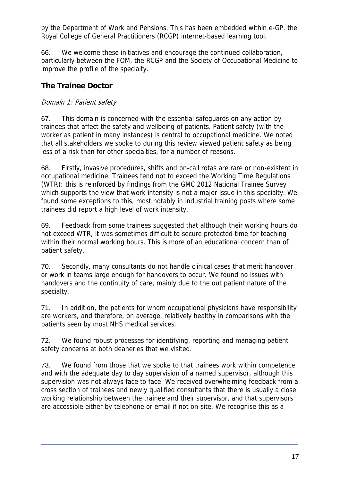by the Department of Work and Pensions. This has been embedded within e-GP, the Royal College of General Practitioners (RCGP) internet-based learning tool.

66. We welcome these initiatives and encourage the continued collaboration, particularly between the FOM, the RCGP and the Society of Occupational Medicine to improve the profile of the specialty.

# **The Trainee Doctor**

# Domain 1: Patient safety

67. This domain is concerned with the essential safeguards on any action by trainees that affect the safety and wellbeing of patients. Patient safety (with the worker as patient in many instances) is central to occupational medicine. We noted that all stakeholders we spoke to during this review viewed patient safety as being less of a risk than for other specialties, for a number of reasons.

68. Firstly, invasive procedures, shifts and on-call rotas are rare or non-existent in occupational medicine. Trainees tend not to exceed the Working Time Regulations (WTR): this is reinforced by findings from the GMC 2012 National Trainee Survey which supports the view that work intensity is not a major issue in this specialty. We found some exceptions to this, most notably in industrial training posts where some trainees did report a high level of work intensity.

69. Feedback from some trainees suggested that although their working hours do not exceed WTR, it was sometimes difficult to secure protected time for teaching within their normal working hours. This is more of an educational concern than of patient safety.

70. Secondly, many consultants do not handle clinical cases that merit handover or work in teams large enough for handovers to occur. We found no issues with handovers and the continuity of care, mainly due to the out patient nature of the specialty.

71. In addition, the patients for whom occupational physicians have responsibility are workers, and therefore, on average, relatively healthy in comparisons with the patients seen by most NHS medical services.

72. We found robust processes for identifying, reporting and managing patient safety concerns at both deaneries that we visited.

73. We found from those that we spoke to that trainees work within competence and with the adequate day to day supervision of a named supervisor, although this supervision was not always face to face. We received overwhelming feedback from a cross section of trainees and newly qualified consultants that there is usually a close working relationship between the trainee and their supervisor, and that supervisors are accessible either by telephone or email if not on-site. We recognise this as a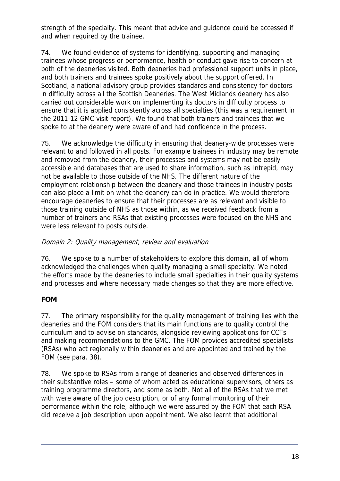strength of the specialty. This meant that advice and guidance could be accessed if and when required by the trainee.

74. We found evidence of systems for identifying, supporting and managing trainees whose progress or performance, health or conduct gave rise to concern at both of the deaneries visited. Both deaneries had professional support units in place, and both trainers and trainees spoke positively about the support offered. In Scotland, a national advisory group provides standards and consistency for doctors in difficulty across all the Scottish Deaneries. The West Midlands deanery has also carried out considerable work on implementing its doctors in difficulty process to ensure that it is applied consistently across all specialties (this was a requirement in the 2011-12 GMC visit report). We found that both trainers and trainees that we spoke to at the deanery were aware of and had confidence in the process.

75. We acknowledge the difficulty in ensuring that deanery-wide processes were relevant to and followed in all posts. For example trainees in industry may be remote and removed from the deanery, their processes and systems may not be easily accessible and databases that are used to share information, such as Intrepid, may not be available to those outside of the NHS. The different nature of the employment relationship between the deanery and those trainees in industry posts can also place a limit on what the deanery can do in practice. We would therefore encourage deaneries to ensure that their processes are as relevant and visible to those training outside of NHS as those within, as we received feedback from a number of trainers and RSAs that existing processes were focused on the NHS and were less relevant to posts outside.

### Domain 2: Quality management, review and evaluation

76. We spoke to a number of stakeholders to explore this domain, all of whom acknowledged the challenges when quality managing a small specialty. We noted the efforts made by the deaneries to include small specialties in their quality systems and processes and where necessary made changes so that they are more effective.

# **FOM**

77. The primary responsibility for the quality management of training lies with the deaneries and the FOM considers that its main functions are to quality control the curriculum and to advise on standards, alongside reviewing applications for CCTs and making recommendations to the GMC. The FOM provides accredited specialists (RSAs) who act regionally within deaneries and are appointed and trained by the FOM (see para. 38).

78. We spoke to RSAs from a range of deaneries and observed differences in their substantive roles – some of whom acted as educational supervisors, others as training programme directors, and some as both. Not all of the RSAs that we met with were aware of the job description, or of any formal monitoring of their performance within the role, although we were assured by the FOM that each RSA did receive a job description upon appointment. We also learnt that additional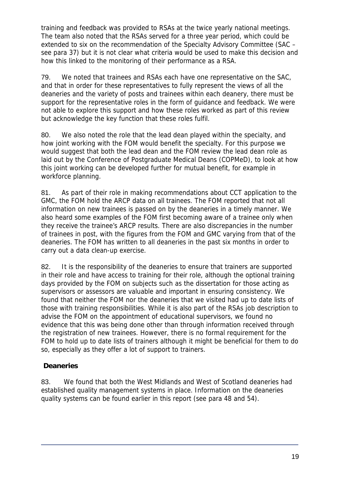training and feedback was provided to RSAs at the twice yearly national meetings. The team also noted that the RSAs served for a three year period, which could be extended to six on the recommendation of the Specialty Advisory Committee (SAC – see para 37) but it is not clear what criteria would be used to make this decision and how this linked to the monitoring of their performance as a RSA.

79. We noted that trainees and RSAs each have one representative on the SAC, and that in order for these representatives to fully represent the views of all the deaneries and the variety of posts and trainees within each deanery, there must be support for the representative roles in the form of guidance and feedback. We were not able to explore this support and how these roles worked as part of this review but acknowledge the key function that these roles fulfil.

80. We also noted the role that the lead dean played within the specialty, and how joint working with the FOM would benefit the specialty. For this purpose we would suggest that both the lead dean and the FOM review the lead dean role as laid out by the Conference of Postgraduate Medical Deans (COPMeD), to look at how this joint working can be developed further for mutual benefit, for example in workforce planning.

81. As part of their role in making recommendations about CCT application to the GMC, the FOM hold the ARCP data on all trainees. The FOM reported that not all information on new trainees is passed on by the deaneries in a timely manner. We also heard some examples of the FOM first becoming aware of a trainee only when they receive the trainee's ARCP results. There are also discrepancies in the number of trainees in post, with the figures from the FOM and GMC varying from that of the deaneries. The FOM has written to all deaneries in the past six months in order to carry out a data clean-up exercise.

82. It is the responsibility of the deaneries to ensure that trainers are supported in their role and have access to training for their role, although the optional training days provided by the FOM on subjects such as the dissertation for those acting as supervisors or assessors are valuable and important in ensuring consistency. We found that neither the FOM nor the deaneries that we visited had up to date lists of those with training responsibilities. While it is also part of the RSAs job description to advise the FOM on the appointment of educational supervisors, we found no evidence that this was being done other than through information received through the registration of new trainees. However, there is no formal requirement for the FOM to hold up to date lists of trainers although it might be beneficial for them to do so, especially as they offer a lot of support to trainers.

# **Deaneries**

83. We found that both the West Midlands and West of Scotland deaneries had established quality management systems in place. Information on the deaneries quality systems can be found earlier in this report (see para 48 and 54).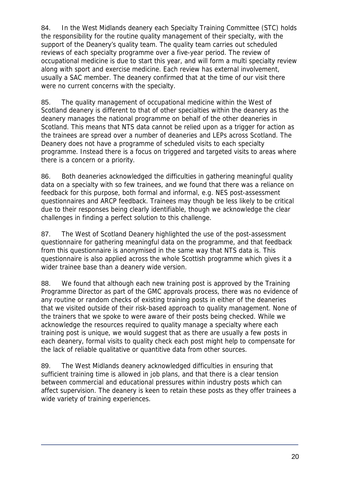84. In the West Midlands deanery each Specialty Training Committee (STC) holds the responsibility for the routine quality management of their specialty, with the support of the Deanery's quality team. The quality team carries out scheduled reviews of each specialty programme over a five-year period. The review of occupational medicine is due to start this year, and will form a multi specialty review along with sport and exercise medicine. Each review has external involvement, usually a SAC member. The deanery confirmed that at the time of our visit there were no current concerns with the specialty.

85. The quality management of occupational medicine within the West of Scotland deanery is different to that of other specialties within the deanery as the deanery manages the national programme on behalf of the other deaneries in Scotland. This means that NTS data cannot be relied upon as a trigger for action as the trainees are spread over a number of deaneries and LEPs across Scotland. The Deanery does not have a programme of scheduled visits to each specialty programme. Instead there is a focus on triggered and targeted visits to areas where there is a concern or a priority.

86. Both deaneries acknowledged the difficulties in gathering meaningful quality data on a specialty with so few trainees, and we found that there was a reliance on feedback for this purpose, both formal and informal, e.g. NES post-assessment questionnaires and ARCP feedback. Trainees may though be less likely to be critical due to their responses being clearly identifiable, though we acknowledge the clear challenges in finding a perfect solution to this challenge.

87. The West of Scotland Deanery highlighted the use of the post-assessment questionnaire for gathering meaningful data on the programme, and that feedback from this questionnaire is anonymised in the same way that NTS data is. This questionnaire is also applied across the whole Scottish programme which gives it a wider trainee base than a deanery wide version.

88. We found that although each new training post is approved by the Training Programme Director as part of the GMC approvals process, there was no evidence of any routine or random checks of existing training posts in either of the deaneries that we visited outside of their risk-based approach to quality management. None of the trainers that we spoke to were aware of their posts being checked. While we acknowledge the resources required to quality manage a specialty where each training post is unique, we would suggest that as there are usually a few posts in each deanery, formal visits to quality check each post might help to compensate for the lack of reliable qualitative or quantitive data from other sources.

89. The West Midlands deanery acknowledged difficulties in ensuring that sufficient training time is allowed in job plans, and that there is a clear tension between commercial and educational pressures within industry posts which can affect supervision. The deanery is keen to retain these posts as they offer trainees a wide variety of training experiences.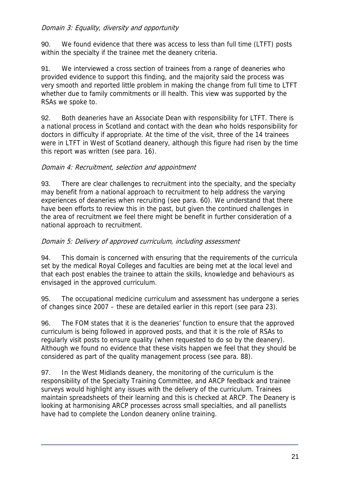### Domain 3: Equality, diversity and opportunity

90. We found evidence that there was access to less than full time (LTFT) posts within the specialty if the trainee met the deanery criteria.

91. We interviewed a cross section of trainees from a range of deaneries who provided evidence to support this finding, and the majority said the process was very smooth and reported little problem in making the change from full time to LTFT whether due to family commitments or ill health. This view was supported by the RSAs we spoke to.

92. Both deaneries have an Associate Dean with responsibility for LTFT. There is a national process in Scotland and contact with the dean who holds responsibility for doctors in difficulty if appropriate. At the time of the visit, three of the 14 trainees were in LTFT in West of Scotland deanery, although this figure had risen by the time this report was written (see para. 16).

### Domain 4: Recruitment, selection and appointment

93. There are clear challenges to recruitment into the specialty, and the specialty may benefit from a national approach to recruitment to help address the varying experiences of deaneries when recruiting (see para. 60). We understand that there have been efforts to review this in the past, but given the continued challenges in the area of recruitment we feel there might be benefit in further consideration of a national approach to recruitment.

### Domain 5: Delivery of approved curriculum, including assessment

94. This domain is concerned with ensuring that the requirements of the curricula set by the medical Royal Colleges and faculties are being met at the local level and that each post enables the trainee to attain the skills, knowledge and behaviours as envisaged in the approved curriculum.

95. The occupational medicine curriculum and assessment has undergone a series of changes since 2007 – these are detailed earlier in this report (see para 23).

96. The FOM states that it is the deaneries' function to ensure that the approved curriculum is being followed in approved posts, and that it is the role of RSAs to regularly visit posts to ensure quality (when requested to do so by the deanery). Although we found no evidence that these visits happen we feel that they should be considered as part of the quality management process (see para. 88).

97. In the West Midlands deanery, the monitoring of the curriculum is the responsibility of the Specialty Training Committee, and ARCP feedback and trainee surveys would highlight any issues with the delivery of the curriculum. Trainees maintain spreadsheets of their learning and this is checked at ARCP. The Deanery is looking at harmonising ARCP processes across small specialties, and all panellists have had to complete the London deanery online training.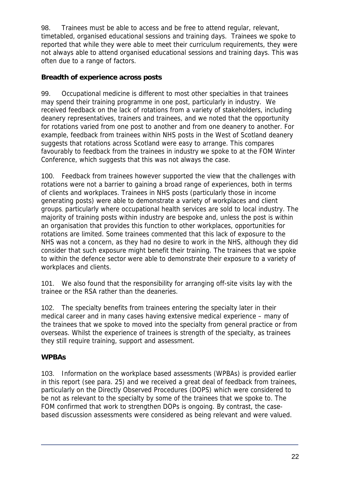98. Trainees must be able to access and be free to attend regular, relevant, timetabled, organised educational sessions and training days. Trainees we spoke to reported that while they were able to meet their curriculum requirements, they were not always able to attend organised educational sessions and training days. This was often due to a range of factors.

### **Breadth of experience across posts**

99. Occupational medicine is different to most other specialties in that trainees may spend their training programme in one post, particularly in industry. We received feedback on the lack of rotations from a variety of stakeholders, including deanery representatives, trainers and trainees, and we noted that the opportunity for rotations varied from one post to another and from one deanery to another. For example, feedback from trainees within NHS posts in the West of Scotland deanery suggests that rotations across Scotland were easy to arrange. This compares favourably to feedback from the trainees in industry we spoke to at the FOM Winter Conference, which suggests that this was not always the case.

100. Feedback from trainees however supported the view that the challenges with rotations were not a barrier to gaining a broad range of experiences, both in terms of clients and workplaces. Trainees in NHS posts (particularly those in income generating posts) were able to demonstrate a variety of workplaces and client groups, particularly where occupational health services are sold to local industry. The majority of training posts within industry are bespoke and, unless the post is within an organisation that provides this function to other workplaces, opportunities for rotations are limited. Some trainees commented that this lack of exposure to the NHS was not a concern, as they had no desire to work in the NHS, although they did consider that such exposure might benefit their training. The trainees that we spoke to within the defence sector were able to demonstrate their exposure to a variety of workplaces and clients.

101. We also found that the responsibility for arranging off-site visits lay with the trainee or the RSA rather than the deaneries.

102. The specialty benefits from trainees entering the specialty later in their medical career and in many cases having extensive medical experience – many of the trainees that we spoke to moved into the specialty from general practice or from overseas. Whilst the experience of trainees is strength of the specialty, as trainees they still require training, support and assessment.

# **WPBAs**

103. Information on the workplace based assessments (WPBAs) is provided earlier in this report (see para. 25) and we received a great deal of feedback from trainees, particularly on the Directly Observed Procedures (DOPS) which were considered to be not as relevant to the specialty by some of the trainees that we spoke to. The FOM confirmed that work to strengthen DOPs is ongoing. By contrast, the casebased discussion assessments were considered as being relevant and were valued.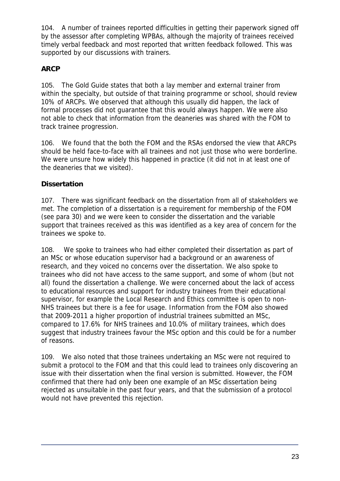104. A number of trainees reported difficulties in getting their paperwork signed off by the assessor after completing WPBAs, although the majority of trainees received timely verbal feedback and most reported that written feedback followed. This was supported by our discussions with trainers.

# **ARCP**

105. The Gold Guide states that both a lay member and external trainer from within the specialty, but outside of that training programme or school, should review 10% of ARCPs. We observed that although this usually did happen, the lack of formal processes did not guarantee that this would always happen. We were also not able to check that information from the deaneries was shared with the FOM to track trainee progression.

106. We found that the both the FOM and the RSAs endorsed the view that ARCPs should be held face-to-face with all trainees and not just those who were borderline. We were unsure how widely this happened in practice (it did not in at least one of the deaneries that we visited).

# **Dissertation**

107. There was significant feedback on the dissertation from all of stakeholders we met. The completion of a dissertation is a requirement for membership of the FOM (see para 30) and we were keen to consider the dissertation and the variable support that trainees received as this was identified as a key area of concern for the trainees we spoke to.

108. We spoke to trainees who had either completed their dissertation as part of an MSc or whose education supervisor had a background or an awareness of research, and they voiced no concerns over the dissertation. We also spoke to trainees who did not have access to the same support, and some of whom (but not all) found the dissertation a challenge. We were concerned about the lack of access to educational resources and support for industry trainees from their educational supervisor, for example the Local Research and Ethics committee is open to non-NHS trainees but there is a fee for usage. Information from the FOM also showed that 2009-2011 a higher proportion of industrial trainees submitted an MSc, compared to 17.6% for NHS trainees and 10.0% of military trainees, which does suggest that industry trainees favour the MSc option and this could be for a number of reasons.

109. We also noted that those trainees undertaking an MSc were not required to submit a protocol to the FOM and that this could lead to trainees only discovering an issue with their dissertation when the final version is submitted. However, the FOM confirmed that there had only been one example of an MSc dissertation being rejected as unsuitable in the past four years, and that the submission of a protocol would not have prevented this rejection.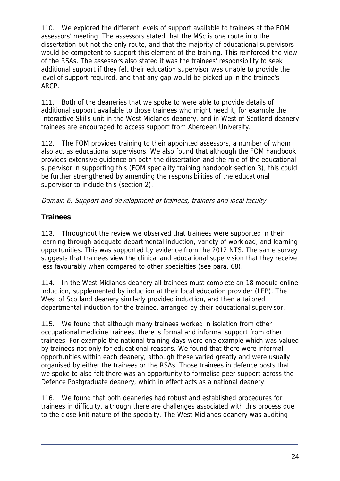110. We explored the different levels of support available to trainees at the FOM assessors' meeting. The assessors stated that the MSc is one route into the dissertation but not the only route, and that the majority of educational supervisors would be competent to support this element of the training. This reinforced the view of the RSAs. The assessors also stated it was the trainees' responsibility to seek additional support if they felt their education supervisor was unable to provide the level of support required, and that any gap would be picked up in the trainee's ARCP.

111. Both of the deaneries that we spoke to were able to provide details of additional support available to those trainees who might need it, for example the Interactive Skills unit in the West Midlands deanery, and in West of Scotland deanery trainees are encouraged to access support from Aberdeen University.

112. The FOM provides training to their appointed assessors, a number of whom also act as educational supervisors. We also found that although the FOM handbook provides extensive guidance on both the dissertation and the role of the educational supervisor in supporting this (FOM speciality training handbook section 3), this could be further strengthened by amending the responsibilities of the educational supervisor to include this (section 2).

### Domain 6: Support and development of trainees, trainers and local faculty

# **Trainees**

113. Throughout the review we observed that trainees were supported in their learning through adequate departmental induction, variety of workload, and learning opportunities. This was supported by evidence from the 2012 NTS. The same survey suggests that trainees view the clinical and educational supervision that they receive less favourably when compared to other specialties (see para. 68).

114. In the West Midlands deanery all trainees must complete an 18 module online induction, supplemented by induction at their local education provider (LEP). The West of Scotland deanery similarly provided induction, and then a tailored departmental induction for the trainee, arranged by their educational supervisor.

115. We found that although many trainees worked in isolation from other occupational medicine trainees, there is formal and informal support from other trainees. For example the national training days were one example which was valued by trainees not only for educational reasons. We found that there were informal opportunities within each deanery, although these varied greatly and were usually organised by either the trainees or the RSAs. Those trainees in defence posts that we spoke to also felt there was an opportunity to formalise peer support across the Defence Postgraduate deanery, which in effect acts as a national deanery.

116. We found that both deaneries had robust and established procedures for trainees in difficulty, although there are challenges associated with this process due to the close knit nature of the specialty. The West Midlands deanery was auditing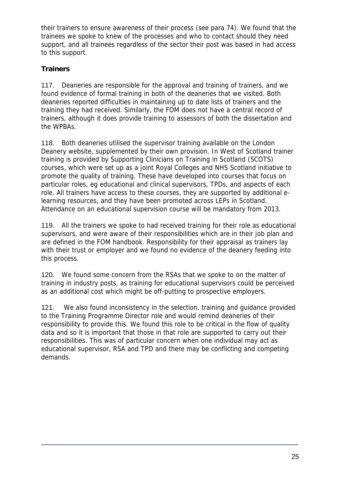their trainers to ensure awareness of their process (see para 74). We found that the trainees we spoke to knew of the processes and who to contact should they need support, and all trainees regardless of the sector their post was based in had access to this support.

# **Trainers**

117. Deaneries are responsible for the approval and training of trainers, and we found evidence of formal training in both of the deaneries that we visited. Both deaneries reported difficulties in maintaining up to date lists of trainers and the training they had received. Similarly, the FOM does not have a central record of trainers, although it does provide training to assessors of both the dissertation and the WPBAs.

118. Both deaneries utilised the supervisor training available on the London Deanery website, supplemented by their own provision. In West of Scotland trainer training is provided by Supporting Clinicians on Training in Scotland (SCOTS) courses, which were set up as a joint Royal Colleges and NHS Scotland initiative to promote the quality of training. These have developed into courses that focus on particular roles, eg educational and clinical supervisors, TPDs, and aspects of each role. All trainers have access to these courses, they are supported by additional elearning resources, and they have been promoted across LEPs in Scotland. Attendance on an educational supervision course will be mandatory from 2013.

119. All the trainers we spoke to had received training for their role as educational supervisors, and were aware of their responsibilities which are in their job plan and are defined in the FOM handbook. Responsibility for their appraisal as trainers lay with their trust or employer and we found no evidence of the deanery feeding into this process.

120. We found some concern from the RSAs that we spoke to on the matter of training in industry posts, as training for educational supervisors could be perceived as an additional cost which might be off-putting to prospective employers.

121. We also found inconsistency in the selection, training and guidance provided to the Training Programme Director role and would remind deaneries of their responsibility to provide this. We found this role to be critical in the flow of quality data and so it is important that those in that role are supported to carry out their responsibilities. This was of particular concern when one individual may act as educational supervisor, RSA and TPD and there may be conflicting and competing demands.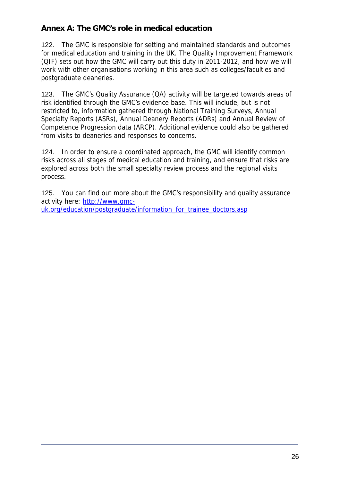# **Annex A: The GMC's role in medical education**

122. The GMC is responsible for setting and maintained standards and outcomes for medical education and training in the UK. The Quality Improvement Framework (QIF) sets out how the GMC will carry out this duty in 2011-2012, and how we will work with other organisations working in this area such as colleges/faculties and postgraduate deaneries.

123. The GMC's Quality Assurance (QA) activity will be targeted towards areas of risk identified through the GMC's evidence base. This will include, but is not restricted to, information gathered through National Training Surveys, Annual Specialty Reports (ASRs), Annual Deanery Reports (ADRs) and Annual Review of Competence Progression data (ARCP). Additional evidence could also be gathered from visits to deaneries and responses to concerns.

124. In order to ensure a coordinated approach, the GMC will identify common risks across all stages of medical education and training, and ensure that risks are explored across both the small specialty review process and the regional visits process.

125. You can find out more about the GMC's responsibility and quality assurance activity here: http://www.gmcuk.org/education/postgraduate/information\_for\_trainee\_doctors.asp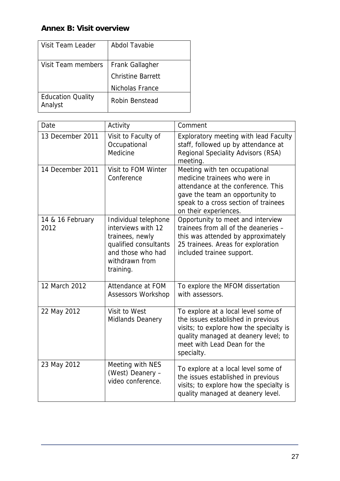# **Annex B: Visit overview**

| <b>Visit Team Leader</b>            | Abdol Tavabie            |
|-------------------------------------|--------------------------|
| Visit Team members                  | <b>Frank Gallagher</b>   |
|                                     | <b>Christine Barrett</b> |
|                                     | Nicholas France          |
| <b>Education Quality</b><br>Analyst | Robin Benstead           |

| Date                     | Activity                                                                                                                                   | Comment                                                                                                                                                                                                   |
|--------------------------|--------------------------------------------------------------------------------------------------------------------------------------------|-----------------------------------------------------------------------------------------------------------------------------------------------------------------------------------------------------------|
| 13 December 2011         | Visit to Faculty of<br>Occupational<br>Medicine                                                                                            | Exploratory meeting with lead Faculty<br>staff, followed up by attendance at<br>Regional Speciality Advisors (RSA)<br>meeting.                                                                            |
| 14 December 2011         | Visit to FOM Winter<br>Conference                                                                                                          | Meeting with ten occupational<br>medicine trainees who were in<br>attendance at the conference. This<br>gave the team an opportunity to<br>speak to a cross section of trainees<br>on their experiences.  |
| 14 & 16 February<br>2012 | Individual telephone<br>interviews with 12<br>trainees, newly<br>qualified consultants<br>and those who had<br>withdrawn from<br>training. | Opportunity to meet and interview<br>trainees from all of the deaneries -<br>this was attended by approximately<br>25 trainees. Areas for exploration<br>included trainee support.                        |
| 12 March 2012            | Attendance at FOM<br><b>Assessors Workshop</b>                                                                                             | To explore the MFOM dissertation<br>with assessors.                                                                                                                                                       |
| 22 May 2012              | Visit to West<br><b>Midlands Deanery</b>                                                                                                   | To explore at a local level some of<br>the issues established in previous<br>visits; to explore how the specialty is<br>quality managed at deanery level; to<br>meet with Lead Dean for the<br>specialty. |
| 23 May 2012              | Meeting with NES<br>(West) Deanery -<br>video conference.                                                                                  | To explore at a local level some of<br>the issues established in previous<br>visits; to explore how the specialty is<br>quality managed at deanery level.                                                 |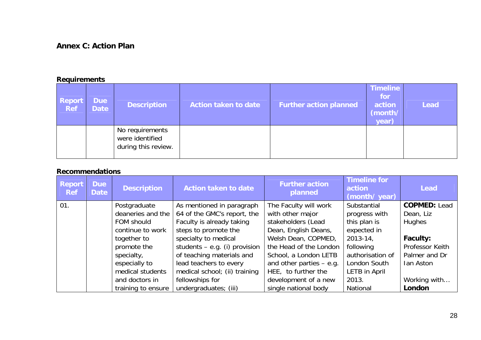# **Annex C: Action Plan**

### **Requirements**

| <b>Report</b><br><b>Ref</b> | <b>Due</b><br><b>Date</b> | <b>Description</b>                                        | <b>Action taken to date</b> | <b>Further action planned</b> | <b>Timeline</b><br>for<br>action<br>(month/<br>year) | <b>Lead</b> |
|-----------------------------|---------------------------|-----------------------------------------------------------|-----------------------------|-------------------------------|------------------------------------------------------|-------------|
|                             |                           | No requirements<br>were identified<br>during this review. |                             |                               |                                                      |             |

### **Recommendations**

| <b>Report</b><br><b>Ref</b> | <b>Due</b><br><b>Date</b> | <b>Description</b> | <b>Action taken to date</b>     | <b>Further action</b><br>planned | <b>Timeline for</b><br>action<br>(month/ year) | Lead                |
|-----------------------------|---------------------------|--------------------|---------------------------------|----------------------------------|------------------------------------------------|---------------------|
| 01.                         |                           | Postgraduate       | As mentioned in paragraph       | The Faculty will work            | Substantial                                    | <b>COPMED: Lead</b> |
|                             |                           | deaneries and the  | 64 of the GMC's report, the     | with other major                 | progress with                                  | Dean, Liz           |
|                             |                           | FOM should         | Faculty is already taking       | stakeholders (Lead               | this plan is                                   | <b>Hughes</b>       |
|                             |                           | continue to work   | steps to promote the            | Dean, English Deans,             | expected in                                    |                     |
|                             |                           | together to        | specialty to medical            | Welsh Dean, COPMED,              | $2013 - 14$                                    | <b>Faculty:</b>     |
|                             |                           | promote the        | students $-$ e.g. (i) provision | the Head of the London           | following                                      | Professor Keith     |
|                             |                           | specialty,         | of teaching materials and       | School, a London LETB            | authorisation of                               | Palmer and Dr       |
|                             |                           | especially to      | lead teachers to every          | and other parties $-$ e.g.       | London South                                   | Ian Aston           |
|                             |                           | medical students   | medical school; (ii) training   | HEE, to further the              | LETB in April                                  |                     |
|                             |                           | and doctors in     | fellowships for                 | development of a new             | 2013.                                          | Working with        |
|                             |                           | training to ensure | undergraduates; (iii)           | single national body             | National                                       | London              |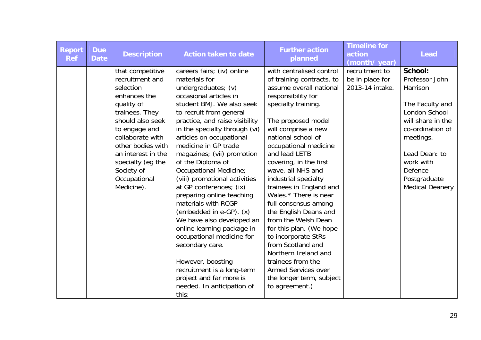| <b>Report</b><br><b>Ref</b> | <b>Due</b><br><b>Date</b> | <b>Description</b>                                                                                                                                                                                                                                                    | <b>Action taken to date</b>                                                                                                                                                                                                                                                                                                                                                                                                                                                                                                                                                                                                                                                                                                                | <b>Further action</b><br>planned                                                                                                                                                                                                                                                                                                                                                                                                                                                                                                                                                                                                              | <b>Timeline for</b><br>action<br>(month/year)        | <b>Lead</b>                                                                                                                                                                                                               |
|-----------------------------|---------------------------|-----------------------------------------------------------------------------------------------------------------------------------------------------------------------------------------------------------------------------------------------------------------------|--------------------------------------------------------------------------------------------------------------------------------------------------------------------------------------------------------------------------------------------------------------------------------------------------------------------------------------------------------------------------------------------------------------------------------------------------------------------------------------------------------------------------------------------------------------------------------------------------------------------------------------------------------------------------------------------------------------------------------------------|-----------------------------------------------------------------------------------------------------------------------------------------------------------------------------------------------------------------------------------------------------------------------------------------------------------------------------------------------------------------------------------------------------------------------------------------------------------------------------------------------------------------------------------------------------------------------------------------------------------------------------------------------|------------------------------------------------------|---------------------------------------------------------------------------------------------------------------------------------------------------------------------------------------------------------------------------|
|                             |                           | that competitive<br>recruitment and<br>selection<br>enhances the<br>quality of<br>trainees. They<br>should also seek<br>to engage and<br>collaborate with<br>other bodies with<br>an interest in the<br>specialty (eg the<br>Society of<br>Occupational<br>Medicine). | careers fairs; (iv) online<br>materials for<br>undergraduates; (v)<br>occasional articles in<br>student BMJ. We also seek<br>to recruit from general<br>practice, and raise visibility<br>in the specialty through (vi)<br>articles on occupational<br>medicine in GP trade<br>magazines; (vii) promotion<br>of the Diploma of<br><b>Occupational Medicine;</b><br>(viii) promotional activities<br>at GP conferences; (ix)<br>preparing online teaching<br>materials with RCGP<br>(embedded in e-GP). (x)<br>We have also developed an<br>online learning package in<br>occupational medicine for<br>secondary care.<br>However, boosting<br>recruitment is a long-term<br>project and far more is<br>needed. In anticipation of<br>this: | with centralised control<br>of training contracts, to<br>assume overall national<br>responsibility for<br>specialty training.<br>The proposed model<br>will comprise a new<br>national school of<br>occupational medicine<br>and lead LETB<br>covering, in the first<br>wave, all NHS and<br>industrial specialty<br>trainees in England and<br>Wales.* There is near<br>full consensus among<br>the English Deans and<br>from the Welsh Dean<br>for this plan. (We hope<br>to incorporate StRs<br>from Scotland and<br>Northern Ireland and<br>trainees from the<br><b>Armed Services over</b><br>the longer term, subject<br>to agreement.) | recruitment to<br>be in place for<br>2013-14 intake. | <b>School:</b><br>Professor John<br>Harrison<br>The Faculty and<br>London School<br>will share in the<br>co-ordination of<br>meetings.<br>Lead Dean: to<br>work with<br>Defence<br>Postgraduate<br><b>Medical Deanery</b> |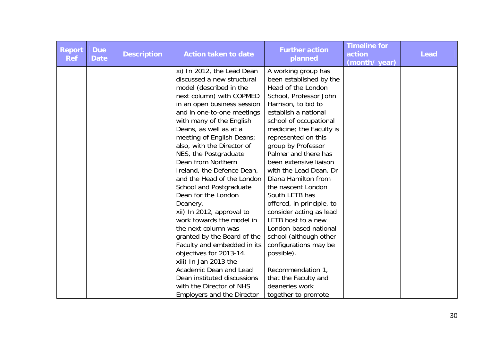| <b>Report</b><br><b>Ref</b> | <b>Due</b><br><b>Date</b> | <b>Description</b> | <b>Action taken to date</b>       | <b>Further action</b><br>planned | <b>Timeline for</b><br>action<br>(month/year) | <b>Lead</b> |
|-----------------------------|---------------------------|--------------------|-----------------------------------|----------------------------------|-----------------------------------------------|-------------|
|                             |                           |                    | xi) In 2012, the Lead Dean        | A working group has              |                                               |             |
|                             |                           |                    | discussed a new structural        | been established by the          |                                               |             |
|                             |                           |                    | model (described in the           | Head of the London               |                                               |             |
|                             |                           |                    | next column) with COPMED          | School, Professor John           |                                               |             |
|                             |                           |                    | in an open business session       | Harrison, to bid to              |                                               |             |
|                             |                           |                    | and in one-to-one meetings        | establish a national             |                                               |             |
|                             |                           |                    | with many of the English          | school of occupational           |                                               |             |
|                             |                           |                    | Deans, as well as at a            | medicine; the Faculty is         |                                               |             |
|                             |                           |                    | meeting of English Deans;         | represented on this              |                                               |             |
|                             |                           |                    | also, with the Director of        | group by Professor               |                                               |             |
|                             |                           |                    | NES, the Postgraduate             | Palmer and there has             |                                               |             |
|                             |                           |                    | Dean from Northern                | been extensive liaison           |                                               |             |
|                             |                           |                    | Ireland, the Defence Dean,        | with the Lead Dean. Dr           |                                               |             |
|                             |                           |                    | and the Head of the London        | Diana Hamilton from              |                                               |             |
|                             |                           |                    | School and Postgraduate           | the nascent London               |                                               |             |
|                             |                           |                    | Dean for the London               | South LETB has                   |                                               |             |
|                             |                           |                    | Deanery.                          | offered, in principle, to        |                                               |             |
|                             |                           |                    | xii) In 2012, approval to         | consider acting as lead          |                                               |             |
|                             |                           |                    | work towards the model in         | LETB host to a new               |                                               |             |
|                             |                           |                    | the next column was               | London-based national            |                                               |             |
|                             |                           |                    | granted by the Board of the       | school (although other           |                                               |             |
|                             |                           |                    | Faculty and embedded in its       | configurations may be            |                                               |             |
|                             |                           |                    | objectives for 2013-14.           | possible).                       |                                               |             |
|                             |                           |                    | xiii) In Jan 2013 the             |                                  |                                               |             |
|                             |                           |                    | Academic Dean and Lead            | Recommendation 1,                |                                               |             |
|                             |                           |                    | Dean instituted discussions       | that the Faculty and             |                                               |             |
|                             |                           |                    | with the Director of NHS          | deaneries work                   |                                               |             |
|                             |                           |                    | <b>Employers and the Director</b> | together to promote              |                                               |             |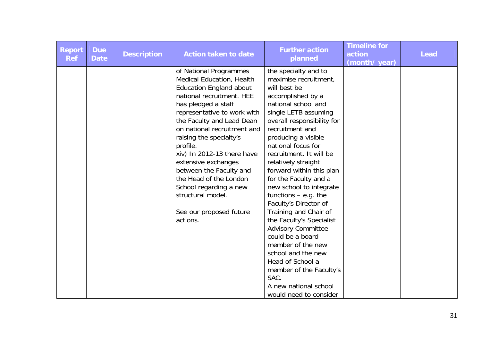| <b>Report</b><br><b>Ref</b> | <b>Due</b><br><b>Date</b> | <b>Description</b> | <b>Action taken to date</b>    | <b>Further action</b><br>planned | <b>Timeline for</b><br>action<br>(month/year) | <b>Lead</b> |
|-----------------------------|---------------------------|--------------------|--------------------------------|----------------------------------|-----------------------------------------------|-------------|
|                             |                           |                    | of National Programmes         | the specialty and to             |                                               |             |
|                             |                           |                    | Medical Education, Health      | maximise recruitment,            |                                               |             |
|                             |                           |                    | <b>Education England about</b> | will best be                     |                                               |             |
|                             |                           |                    | national recruitment. HEE      | accomplished by a                |                                               |             |
|                             |                           |                    | has pledged a staff            | national school and              |                                               |             |
|                             |                           |                    | representative to work with    | single LETB assuming             |                                               |             |
|                             |                           |                    | the Faculty and Lead Dean      | overall responsibility for       |                                               |             |
|                             |                           |                    | on national recruitment and    | recruitment and                  |                                               |             |
|                             |                           |                    | raising the specialty's        | producing a visible              |                                               |             |
|                             |                           |                    | profile.                       | national focus for               |                                               |             |
|                             |                           |                    | xiv) In 2012-13 there have     | recruitment. It will be          |                                               |             |
|                             |                           |                    | extensive exchanges            | relatively straight              |                                               |             |
|                             |                           |                    | between the Faculty and        | forward within this plan         |                                               |             |
|                             |                           |                    | the Head of the London         | for the Faculty and a            |                                               |             |
|                             |                           |                    | School regarding a new         | new school to integrate          |                                               |             |
|                             |                           |                    | structural model.              | functions $-$ e.g. the           |                                               |             |
|                             |                           |                    |                                | Faculty's Director of            |                                               |             |
|                             |                           |                    | See our proposed future        | Training and Chair of            |                                               |             |
|                             |                           |                    | actions.                       | the Faculty's Specialist         |                                               |             |
|                             |                           |                    |                                | <b>Advisory Committee</b>        |                                               |             |
|                             |                           |                    |                                | could be a board                 |                                               |             |
|                             |                           |                    |                                | member of the new                |                                               |             |
|                             |                           |                    |                                | school and the new               |                                               |             |
|                             |                           |                    |                                | Head of School a                 |                                               |             |
|                             |                           |                    |                                | member of the Faculty's          |                                               |             |
|                             |                           |                    |                                | SAC.                             |                                               |             |
|                             |                           |                    |                                | A new national school            |                                               |             |
|                             |                           |                    |                                | would need to consider           |                                               |             |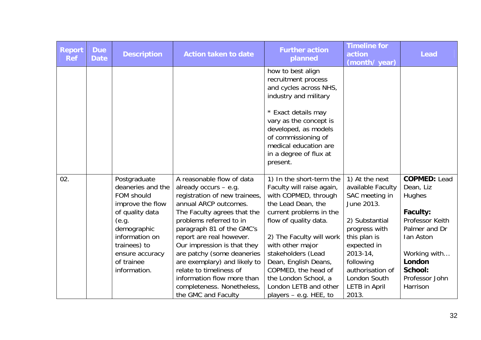| <b>Report</b><br><b>Ref</b> | <b>Due</b><br><b>Date</b> | <b>Description</b>                                                                                                                                                                                | <b>Action taken to date</b>                                                                                                                                                                                                                                                                                                                                                                                                                  | <b>Further action</b><br>planned                                                                                                                                                                                                                                                                                                                          | <b>Timeline for</b><br>action<br>(month/ year)                                                                                                                                                                                           | <b>Lead</b>                                                                                                                                                                |
|-----------------------------|---------------------------|---------------------------------------------------------------------------------------------------------------------------------------------------------------------------------------------------|----------------------------------------------------------------------------------------------------------------------------------------------------------------------------------------------------------------------------------------------------------------------------------------------------------------------------------------------------------------------------------------------------------------------------------------------|-----------------------------------------------------------------------------------------------------------------------------------------------------------------------------------------------------------------------------------------------------------------------------------------------------------------------------------------------------------|------------------------------------------------------------------------------------------------------------------------------------------------------------------------------------------------------------------------------------------|----------------------------------------------------------------------------------------------------------------------------------------------------------------------------|
|                             |                           |                                                                                                                                                                                                   |                                                                                                                                                                                                                                                                                                                                                                                                                                              | how to best align<br>recruitment process<br>and cycles across NHS,<br>industry and military<br>* Exact details may<br>vary as the concept is<br>developed, as models<br>of commissioning of<br>medical education are<br>in a degree of flux at<br>present.                                                                                                |                                                                                                                                                                                                                                          |                                                                                                                                                                            |
| 02.                         |                           | Postgraduate<br>deaneries and the<br>FOM should<br>improve the flow<br>of quality data<br>(e.g.<br>demographic<br>information on<br>trainees) to<br>ensure accuracy<br>of trainee<br>information. | A reasonable flow of data<br>already occurs $-$ e.g.<br>registration of new trainees,<br>annual ARCP outcomes.<br>The Faculty agrees that the<br>problems referred to in<br>paragraph 81 of the GMC's<br>report are real however.<br>Our impression is that they<br>are patchy (some deaneries<br>are exemplary) and likely to<br>relate to timeliness of<br>information flow more than<br>completeness. Nonetheless,<br>the GMC and Faculty | 1) In the short-term the<br>Faculty will raise again,<br>with COPMED, through<br>the Lead Dean, the<br>current problems in the<br>flow of quality data.<br>2) The Faculty will work<br>with other major<br>stakeholders (Lead<br>Dean, English Deans,<br>COPMED, the head of<br>the London School, a<br>London LETB and other<br>players $-$ e.g. HEE, to | 1) At the next<br>available Faculty<br>SAC meeting in<br>June 2013.<br>2) Substantial<br>progress with<br>this plan is<br>expected in<br>$2013 - 14$ ,<br>following<br>authorisation of<br>London South<br><b>LETB</b> in April<br>2013. | <b>COPMED: Lead</b><br>Dean, Liz<br>Hughes<br>Faculty:<br>Professor Keith<br>Palmer and Dr<br>Ian Aston<br>Working with<br>London<br>School:<br>Professor John<br>Harrison |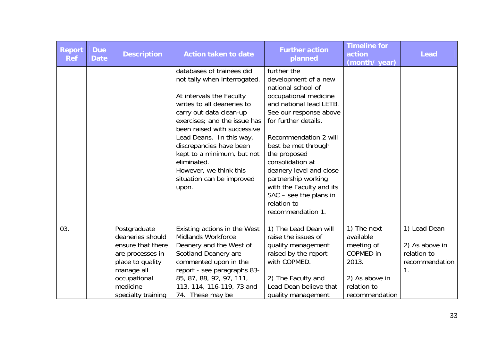| <b>Report</b><br><b>Ref</b> | <b>Due</b><br><b>Date</b> | <b>Description</b>                                                                                                                                            | <b>Action taken to date</b>                                                                                                                                                                                                                                                                                                                                                       | <b>Further action</b><br>planned                                                                                                                                                                                                                                                                                                                                                                  | <b>Timeline for</b><br>action<br>(month/year)                                                                          | <b>Lead</b>                                                           |
|-----------------------------|---------------------------|---------------------------------------------------------------------------------------------------------------------------------------------------------------|-----------------------------------------------------------------------------------------------------------------------------------------------------------------------------------------------------------------------------------------------------------------------------------------------------------------------------------------------------------------------------------|---------------------------------------------------------------------------------------------------------------------------------------------------------------------------------------------------------------------------------------------------------------------------------------------------------------------------------------------------------------------------------------------------|------------------------------------------------------------------------------------------------------------------------|-----------------------------------------------------------------------|
|                             |                           |                                                                                                                                                               | databases of trainees did<br>not tally when interrogated.<br>At intervals the Faculty<br>writes to all deaneries to<br>carry out data clean-up<br>exercises; and the issue has<br>been raised with successive<br>Lead Deans. In this way,<br>discrepancies have been<br>kept to a minimum, but not<br>eliminated.<br>However, we think this<br>situation can be improved<br>upon. | further the<br>development of a new<br>national school of<br>occupational medicine<br>and national lead LETB.<br>See our response above<br>for further details.<br>Recommendation 2 will<br>best be met through<br>the proposed<br>consolidation at<br>deanery level and close<br>partnership working<br>with the Faculty and its<br>$SAC - see$ the plans in<br>relation to<br>recommendation 1. |                                                                                                                        |                                                                       |
| 03.                         |                           | Postgraduate<br>deaneries should<br>ensure that there<br>are processes in<br>place to quality<br>manage all<br>occupational<br>medicine<br>specialty training | Existing actions in the West<br><b>Midlands Workforce</b><br>Deanery and the West of<br><b>Scotland Deanery are</b><br>commented upon in the<br>report - see paragraphs 83-<br>85, 87, 88, 92, 97, 111,<br>113, 114, 116-119, 73 and<br>74. These may be                                                                                                                          | 1) The Lead Dean will<br>raise the issues of<br>quality management<br>raised by the report<br>with COPMED.<br>2) The Faculty and<br>Lead Dean believe that<br>quality management                                                                                                                                                                                                                  | 1) The next<br>available<br>meeting of<br><b>COPMED</b> in<br>2013.<br>2) As above in<br>relation to<br>recommendation | 1) Lead Dean<br>2) As above in<br>relation to<br>recommendation<br>1. |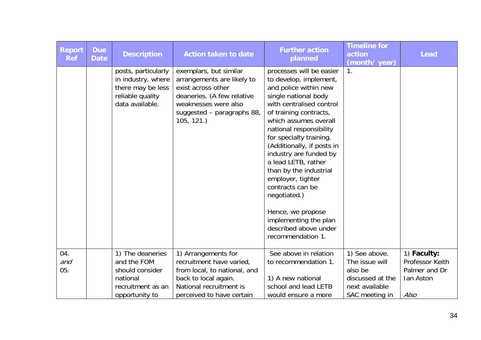| <b>Report</b><br><b>Ref</b> | <b>Due</b><br><b>Date</b> | <b>Description</b>                                                                                    | <b>Action taken to date</b>                                                                                                                                                 | <b>Further action</b><br>planned                                                                                                                                                                                                                                                                                                                                                                                                                                                                       | <b>Timeline for</b><br>action<br>(month/year) | <b>Lead</b>                    |
|-----------------------------|---------------------------|-------------------------------------------------------------------------------------------------------|-----------------------------------------------------------------------------------------------------------------------------------------------------------------------------|--------------------------------------------------------------------------------------------------------------------------------------------------------------------------------------------------------------------------------------------------------------------------------------------------------------------------------------------------------------------------------------------------------------------------------------------------------------------------------------------------------|-----------------------------------------------|--------------------------------|
|                             |                           | posts, particularly<br>in industry, where<br>there may be less<br>reliable quality<br>data available. | exemplars, but similar<br>arrangements are likely to<br>exist across other<br>deaneries. (A few relative<br>weaknesses were also<br>suggested - paragraphs 88,<br>105, 121. | processes will be easier<br>to develop, implement,<br>and police within new<br>single national body<br>with centralised control<br>of training contracts,<br>which assumes overall<br>national responsibility<br>for specialty training.<br>(Additionally, if posts in<br>industry are funded by<br>a lead LETB, rather<br>than by the industrial<br>employer, tighter<br>contracts can be<br>negotiated.)<br>Hence, we propose<br>implementing the plan<br>described above under<br>recommendation 1. | 1.                                            |                                |
| 04.<br>and                  |                           | 1) The deaneries<br>and the FOM                                                                       | 1) Arrangements for<br>recruitment have varied,                                                                                                                             | See above in relation<br>to recommendation 1.                                                                                                                                                                                                                                                                                                                                                                                                                                                          | 1) See above.<br>The issue will               | 1) Faculty:<br>Professor Keith |
| 05.                         |                           | should consider                                                                                       | from local, to national, and                                                                                                                                                |                                                                                                                                                                                                                                                                                                                                                                                                                                                                                                        | also be                                       | Palmer and Dr                  |
|                             |                           | national<br>recruitment as an                                                                         | back to local again.<br>National recruitment is                                                                                                                             | 1) A new national<br>school and lead LETB                                                                                                                                                                                                                                                                                                                                                                                                                                                              | discussed at the<br>next available            | Ian Aston                      |
|                             |                           | opportunity to                                                                                        | perceived to have certain                                                                                                                                                   | would ensure a more                                                                                                                                                                                                                                                                                                                                                                                                                                                                                    | SAC meeting in                                | <b>Also</b>                    |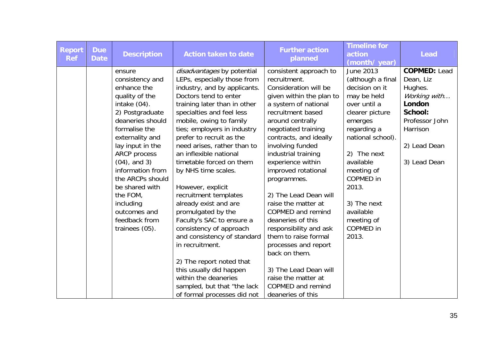| <b>Report</b><br><b>Ref</b> | <b>Due</b><br><b>Date</b> | <b>Description</b>        | <b>Action taken to date</b>                               | <b>Further action</b><br>planned         | <b>Timeline for</b><br>action<br>(month/year) | <b>Lead</b>                      |
|-----------------------------|---------------------------|---------------------------|-----------------------------------------------------------|------------------------------------------|-----------------------------------------------|----------------------------------|
|                             |                           | ensure<br>consistency and | disadvantages by potential<br>LEPs, especially those from | consistent approach to<br>recruitment.   | June 2013<br>(although a final                | <b>COPMED: Lead</b><br>Dean, Liz |
|                             |                           | enhance the               | industry, and by applicants.                              | Consideration will be                    | decision on it                                | Hughes.                          |
|                             |                           | quality of the            | Doctors tend to enter                                     | given within the plan to                 | may be held                                   | Working with                     |
|                             |                           | intake (04).              | training later than in other                              | a system of national                     | over until a                                  | London                           |
|                             |                           | 2) Postgraduate           | specialties and feel less                                 | recruitment based                        | clearer picture                               | School:                          |
|                             |                           | deaneries should          | mobile, owing to family                                   | around centrally                         | emerges                                       | Professor John                   |
|                             |                           | formalise the             | ties; employers in industry                               | negotiated training                      | regarding a                                   | Harrison                         |
|                             |                           | externality and           | prefer to recruit as the                                  | contracts, and ideally                   | national school).                             |                                  |
|                             |                           | lay input in the          | need arises, rather than to                               | involving funded                         |                                               | 2) Lead Dean                     |
|                             |                           | <b>ARCP</b> process       | an inflexible national                                    | industrial training                      | 2) The next                                   |                                  |
|                             |                           | $(04)$ , and 3)           | timetable forced on them                                  | experience within                        | available                                     | 3) Lead Dean                     |
|                             |                           | information from          | by NHS time scales.                                       | improved rotational                      | meeting of                                    |                                  |
|                             |                           | the ARCPs should          |                                                           | programmes.                              | COPMED in                                     |                                  |
|                             |                           | be shared with            | However, explicit                                         |                                          | 2013.                                         |                                  |
|                             |                           | the FOM,                  | recruitment templates                                     | 2) The Lead Dean will                    |                                               |                                  |
|                             |                           | including<br>outcomes and | already exist and are                                     | raise the matter at<br>COPMED and remind | 3) The next<br>available                      |                                  |
|                             |                           | feedback from             | promulgated by the<br>Faculty's SAC to ensure a           | deaneries of this                        | meeting of                                    |                                  |
|                             |                           | trainees (05).            | consistency of approach                                   | responsibility and ask                   | <b>COPMED</b> in                              |                                  |
|                             |                           |                           | and consistency of standard                               | them to raise formal                     | 2013.                                         |                                  |
|                             |                           |                           | in recruitment.                                           | processes and report                     |                                               |                                  |
|                             |                           |                           |                                                           | back on them.                            |                                               |                                  |
|                             |                           |                           | 2) The report noted that                                  |                                          |                                               |                                  |
|                             |                           |                           | this usually did happen                                   | 3) The Lead Dean will                    |                                               |                                  |
|                             |                           |                           | within the deaneries                                      | raise the matter at                      |                                               |                                  |
|                             |                           |                           | sampled, but that "the lack                               | COPMED and remind                        |                                               |                                  |
|                             |                           |                           | of formal processes did not                               | deaneries of this                        |                                               |                                  |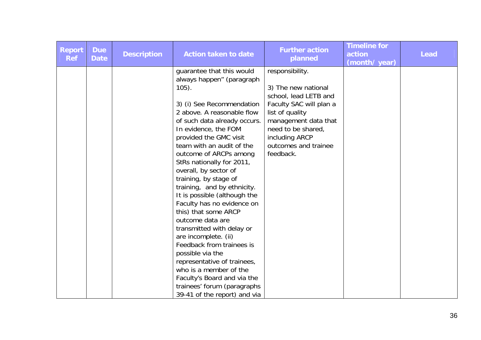| <b>Report</b><br><b>Ref</b> | <b>Due</b><br><b>Date</b> | <b>Description</b> | <b>Action taken to date</b>                                                                                                                                                                                                                                                                                                                                                                                                                                                                                                                                                                                                                                                                                                                                 | <b>Further action</b><br>planned                                                                                                                                                                                   | <b>Timeline for</b><br>action<br>(month/year) | <b>Lead</b> |
|-----------------------------|---------------------------|--------------------|-------------------------------------------------------------------------------------------------------------------------------------------------------------------------------------------------------------------------------------------------------------------------------------------------------------------------------------------------------------------------------------------------------------------------------------------------------------------------------------------------------------------------------------------------------------------------------------------------------------------------------------------------------------------------------------------------------------------------------------------------------------|--------------------------------------------------------------------------------------------------------------------------------------------------------------------------------------------------------------------|-----------------------------------------------|-------------|
|                             |                           |                    | guarantee that this would<br>always happen" (paragraph<br>$105$ ).<br>3) (i) See Recommendation<br>2 above. A reasonable flow<br>of such data already occurs.<br>In evidence, the FOM<br>provided the GMC visit<br>team with an audit of the<br>outcome of ARCPs among<br>StRs nationally for 2011,<br>overall, by sector of<br>training, by stage of<br>training, and by ethnicity.<br>It is possible (although the<br>Faculty has no evidence on<br>this) that some ARCP<br>outcome data are<br>transmitted with delay or<br>are incomplete. (ii)<br>Feedback from trainees is<br>possible via the<br>representative of trainees,<br>who is a member of the<br>Faculty's Board and via the<br>trainees' forum (paragraphs<br>39-41 of the report) and via | responsibility.<br>3) The new national<br>school, lead LETB and<br>Faculty SAC will plan a<br>list of quality<br>management data that<br>need to be shared,<br>including ARCP<br>outcomes and trainee<br>feedback. |                                               |             |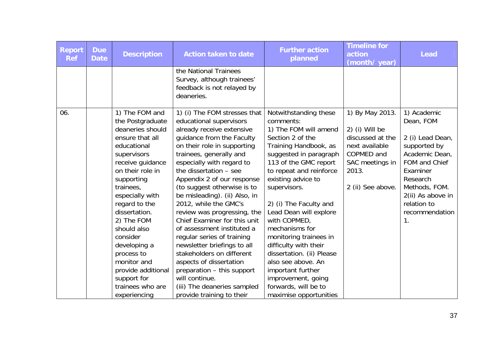| Report<br><b>Ref</b> | <b>Due</b><br><b>Date</b> | <b>Description</b>                                                                                                                                                                                                                                                                                                                                                                             | <b>Action taken to date</b>                                                                                                                                                                                                                                                                                                                                                                                                                                                                                                                                                                                                                                                             | <b>Further action</b><br>planned                                                                                                                                                                                                                                                                                                                                                                                                                                                                                      | <b>Timeline for</b><br>action<br>(month/ year)                                                                                         | <b>Lead</b>                                                                                                                                                                                                      |
|----------------------|---------------------------|------------------------------------------------------------------------------------------------------------------------------------------------------------------------------------------------------------------------------------------------------------------------------------------------------------------------------------------------------------------------------------------------|-----------------------------------------------------------------------------------------------------------------------------------------------------------------------------------------------------------------------------------------------------------------------------------------------------------------------------------------------------------------------------------------------------------------------------------------------------------------------------------------------------------------------------------------------------------------------------------------------------------------------------------------------------------------------------------------|-----------------------------------------------------------------------------------------------------------------------------------------------------------------------------------------------------------------------------------------------------------------------------------------------------------------------------------------------------------------------------------------------------------------------------------------------------------------------------------------------------------------------|----------------------------------------------------------------------------------------------------------------------------------------|------------------------------------------------------------------------------------------------------------------------------------------------------------------------------------------------------------------|
|                      |                           |                                                                                                                                                                                                                                                                                                                                                                                                | the National Trainees<br>Survey, although trainees'<br>feedback is not relayed by<br>deaneries.                                                                                                                                                                                                                                                                                                                                                                                                                                                                                                                                                                                         |                                                                                                                                                                                                                                                                                                                                                                                                                                                                                                                       |                                                                                                                                        |                                                                                                                                                                                                                  |
| 06.                  |                           | 1) The FOM and<br>the Postgraduate<br>deaneries should<br>ensure that all<br>educational<br>supervisors<br>receive guidance<br>on their role in<br>supporting<br>trainees,<br>especially with<br>regard to the<br>dissertation.<br>2) The FOM<br>should also<br>consider<br>developing a<br>process to<br>monitor and<br>provide additional<br>support for<br>trainees who are<br>experiencing | 1) (i) The FOM stresses that<br>educational supervisors<br>already receive extensive<br>guidance from the Faculty<br>on their role in supporting<br>trainees, generally and<br>especially with regard to<br>the dissertation - see<br>Appendix 2 of our response<br>(to suggest otherwise is to<br>be misleading). (ii) Also, in<br>2012, while the GMC's<br>review was progressing, the<br>Chief Examiner for this unit<br>of assessment instituted a<br>regular series of training<br>newsletter briefings to all<br>stakeholders on different<br>aspects of dissertation<br>preparation - this support<br>will continue.<br>(iii) The deaneries sampled<br>provide training to their | Notwithstanding these<br>comments:<br>1) The FOM will amend<br>Section 2 of the<br>Training Handbook, as<br>suggested in paragraph<br>113 of the GMC report<br>to repeat and reinforce<br>existing advice to<br>supervisors.<br>2) (i) The Faculty and<br>Lead Dean will explore<br>with COPMED,<br>mechanisms for<br>monitoring trainees in<br>difficulty with their<br>dissertation. (ii) Please<br>also see above. An<br>important further<br>improvement, going<br>forwards, will be to<br>maximise opportunities | 1) By May 2013.<br>2) (i) Will be<br>discussed at the<br>next available<br>COPMED and<br>SAC meetings in<br>2013.<br>2 (ii) See above. | 1) Academic<br>Dean, FOM<br>2 (i) Lead Dean,<br>supported by<br>Academic Dean,<br>FOM and Chief<br>Examiner<br>Research<br>Methods, FOM.<br>2(ii) As above in<br>relation to<br>recommendation<br>$\mathbf{1}$ . |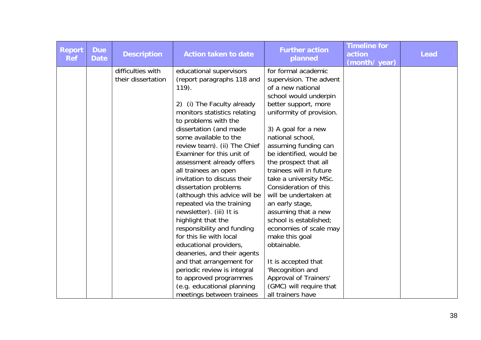| Report<br><b>Ref</b> | <b>Due</b><br><b>Date</b> | <b>Description</b> | <b>Action taken to date</b>                          | <b>Further action</b><br>planned | <b>Timeline for</b><br>action<br>(month/ year) | <b>Lead</b> |
|----------------------|---------------------------|--------------------|------------------------------------------------------|----------------------------------|------------------------------------------------|-------------|
|                      |                           | difficulties with  | educational supervisors                              | for formal academic              |                                                |             |
|                      |                           | their dissertation | (report paragraphs 118 and                           | supervision. The advent          |                                                |             |
|                      |                           |                    | $119$ .                                              | of a new national                |                                                |             |
|                      |                           |                    |                                                      | school would underpin            |                                                |             |
|                      |                           |                    | 2) (i) The Faculty already                           | better support, more             |                                                |             |
|                      |                           |                    | monitors statistics relating<br>to problems with the | uniformity of provision.         |                                                |             |
|                      |                           |                    | dissertation (and made                               | 3) A goal for a new              |                                                |             |
|                      |                           |                    | some available to the                                | national school,                 |                                                |             |
|                      |                           |                    | review team). (ii) The Chief                         | assuming funding can             |                                                |             |
|                      |                           |                    | Examiner for this unit of                            | be identified, would be          |                                                |             |
|                      |                           |                    | assessment already offers                            | the prospect that all            |                                                |             |
|                      |                           |                    | all trainees an open                                 | trainees will in future          |                                                |             |
|                      |                           |                    | invitation to discuss their                          | take a university MSc.           |                                                |             |
|                      |                           |                    | dissertation problems                                | Consideration of this            |                                                |             |
|                      |                           |                    | (although this advice will be                        | will be undertaken at            |                                                |             |
|                      |                           |                    | repeated via the training                            | an early stage,                  |                                                |             |
|                      |                           |                    | newsletter). (iii) It is                             | assuming that a new              |                                                |             |
|                      |                           |                    | highlight that the                                   | school is established;           |                                                |             |
|                      |                           |                    | responsibility and funding                           | economies of scale may           |                                                |             |
|                      |                           |                    | for this lie with local                              | make this goal                   |                                                |             |
|                      |                           |                    | educational providers,                               | obtainable.                      |                                                |             |
|                      |                           |                    | deaneries, and their agents                          |                                  |                                                |             |
|                      |                           |                    | and that arrangement for                             | It is accepted that              |                                                |             |
|                      |                           |                    | periodic review is integral                          | 'Recognition and                 |                                                |             |
|                      |                           |                    | to approved programmes                               | Approval of Trainers'            |                                                |             |
|                      |                           |                    | (e.g. educational planning                           | (GMC) will require that          |                                                |             |
|                      |                           |                    | meetings between trainees                            | all trainers have                |                                                |             |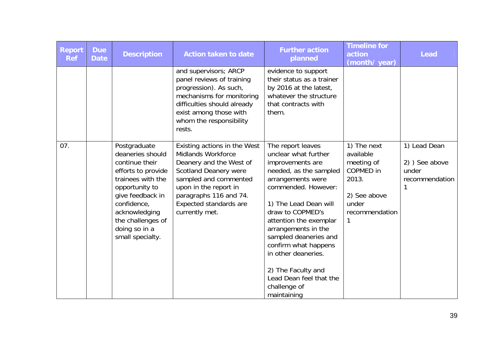| <b>Report</b><br><b>Ref</b> | <b>Due</b><br><b>Date</b> | <b>Description</b>                                                                                                                                                                                                            | <b>Action taken to date</b>                                                                                                                                                                                                                  | <b>Further action</b><br>planned                                                                                                                                                                                                                                                                                                                                                          | <b>Timeline for</b><br>action<br>(month/year)                                                                | <b>Lead</b>                                             |
|-----------------------------|---------------------------|-------------------------------------------------------------------------------------------------------------------------------------------------------------------------------------------------------------------------------|----------------------------------------------------------------------------------------------------------------------------------------------------------------------------------------------------------------------------------------------|-------------------------------------------------------------------------------------------------------------------------------------------------------------------------------------------------------------------------------------------------------------------------------------------------------------------------------------------------------------------------------------------|--------------------------------------------------------------------------------------------------------------|---------------------------------------------------------|
|                             |                           |                                                                                                                                                                                                                               | and supervisors; ARCP<br>panel reviews of training<br>progression). As such,<br>mechanisms for monitoring<br>difficulties should already<br>exist among those with<br>whom the responsibility<br>rests.                                      | evidence to support<br>their status as a trainer<br>by 2016 at the latest,<br>whatever the structure<br>that contracts with<br>them.                                                                                                                                                                                                                                                      |                                                                                                              |                                                         |
| 07.                         |                           | Postgraduate<br>deaneries should<br>continue their<br>efforts to provide<br>trainees with the<br>opportunity to<br>give feedback in<br>confidence,<br>acknowledging<br>the challenges of<br>doing so in a<br>small specialty. | Existing actions in the West<br><b>Midlands Workforce</b><br>Deanery and the West of<br><b>Scotland Deanery were</b><br>sampled and commented<br>upon in the report in<br>paragraphs 116 and 74.<br>Expected standards are<br>currently met. | The report leaves<br>unclear what further<br>improvements are<br>needed, as the sampled<br>arrangements were<br>commended. However:<br>1) The Lead Dean will<br>draw to COPMED's<br>attention the exemplar<br>arrangements in the<br>sampled deaneries and<br>confirm what happens<br>in other deaneries.<br>2) The Faculty and<br>Lead Dean feel that the<br>challenge of<br>maintaining | 1) The next<br>available<br>meeting of<br>COPMED in<br>2013.<br>2) See above<br>under<br>recommendation<br>1 | 1) Lead Dean<br>2) See above<br>under<br>recommendation |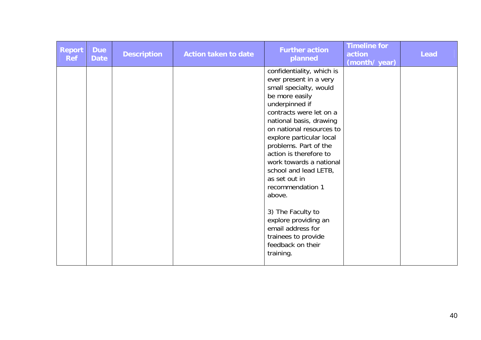| <b>Report</b><br><b>Ref</b> | <b>Due</b><br><b>Date</b> | <b>Description</b> | <b>Action taken to date</b> | <b>Further action</b><br>planned                                                                                                                                                                                                                                                                                                                                                                                                                                               | <b>Timeline for</b><br>action<br>(month/ year) | <b>Lead</b> |
|-----------------------------|---------------------------|--------------------|-----------------------------|--------------------------------------------------------------------------------------------------------------------------------------------------------------------------------------------------------------------------------------------------------------------------------------------------------------------------------------------------------------------------------------------------------------------------------------------------------------------------------|------------------------------------------------|-------------|
|                             |                           |                    |                             | confidentiality, which is<br>ever present in a very<br>small specialty, would<br>be more easily<br>underpinned if<br>contracts were let on a<br>national basis, drawing<br>on national resources to<br>explore particular local<br>problems. Part of the<br>action is therefore to<br>work towards a national<br>school and lead LETB,<br>as set out in<br>recommendation 1<br>above.<br>3) The Faculty to<br>explore providing an<br>email address for<br>trainees to provide |                                                |             |
|                             |                           |                    |                             | feedback on their<br>training.                                                                                                                                                                                                                                                                                                                                                                                                                                                 |                                                |             |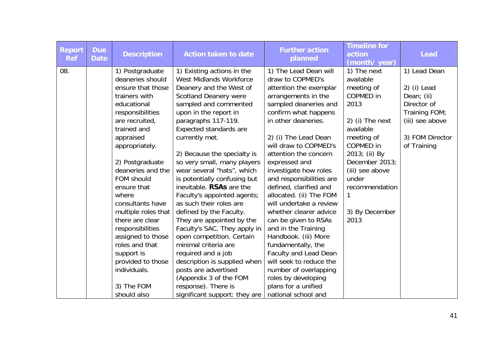| <b>Report</b><br><b>Ref</b> | <b>Due</b><br><b>Date</b> | <b>Description</b>  | <b>Action taken to date</b>    | <b>Further action</b><br>planned | <b>Timeline for</b><br>action<br>(month/year) | <b>Lead</b>     |
|-----------------------------|---------------------------|---------------------|--------------------------------|----------------------------------|-----------------------------------------------|-----------------|
| 08.                         |                           | 1) Postgraduate     | 1) Existing actions in the     | 1) The Lead Dean will            | 1) The next                                   | 1) Lead Dean    |
|                             |                           | deaneries should    | <b>West Midlands Workforce</b> | draw to COPMED's                 | available                                     |                 |
|                             |                           | ensure that those   | Deanery and the West of        | attention the exemplar           | meeting of                                    | 2) (i) Lead     |
|                             |                           | trainers with       | <b>Scotland Deanery were</b>   | arrangements in the              | COPMED in                                     | Dean; (ii)      |
|                             |                           | educational         | sampled and commented          | sampled deaneries and            | 2013                                          | Director of     |
|                             |                           | responsibilities    | upon in the report in          | confirm what happens             |                                               | Training FOM;   |
|                             |                           | are recruited,      | paragraphs 117-119.            | in other deaneries.              | 2) (i) The next                               | (iii) see above |
|                             |                           | trained and         | <b>Expected standards are</b>  |                                  | available                                     |                 |
|                             |                           | appraised           | currently met.                 | 2) (i) The Lead Dean             | meeting of                                    | 3) FOM Director |
|                             |                           | appropriately.      |                                | will draw to COPMED's            | COPMED in                                     | of Training     |
|                             |                           |                     | 2) Because the specialty is    | attention the concern            | 2013; (ii) By                                 |                 |
|                             |                           | 2) Postgraduate     | so very small, many players    | expressed and                    | December 2013;                                |                 |
|                             |                           | deaneries and the   | wear several "hats", which     | investigate how roles            | (iii) see above                               |                 |
|                             |                           | FOM should          | is potentially confusing but   | and responsibilities are         | under                                         |                 |
|                             |                           | ensure that         | inevitable. RSAs are the       | defined, clarified and           | recommendation                                |                 |
|                             |                           | where               | Faculty's appointed agents;    | allocated. (ii) The FOM          | 1                                             |                 |
|                             |                           | consultants have    | as such their roles are        | will undertake a review          |                                               |                 |
|                             |                           | multiple roles that | defined by the Faculty.        | whether clearer advice           | 3) By December                                |                 |
|                             |                           | there are clear     | They are appointed by the      | can be given to RSAs             | 2013                                          |                 |
|                             |                           | responsibilities    | Faculty's SAC. They apply in   | and in the Training              |                                               |                 |
|                             |                           | assigned to those   | open competition. Certain      | Handbook. (iii) More             |                                               |                 |
|                             |                           | roles and that      | minimal criteria are           | fundamentally, the               |                                               |                 |
|                             |                           | support is          | required and a job             | Faculty and Lead Dean            |                                               |                 |
|                             |                           | provided to those   | description is supplied when   | will seek to reduce the          |                                               |                 |
|                             |                           | individuals.        | posts are advertised           | number of overlapping            |                                               |                 |
|                             |                           |                     | (Appendix 3 of the FOM         | roles by developing              |                                               |                 |
|                             |                           | 3) The FOM          | response). There is            | plans for a unified              |                                               |                 |
|                             |                           | should also         | significant support: they are  | national school and              |                                               |                 |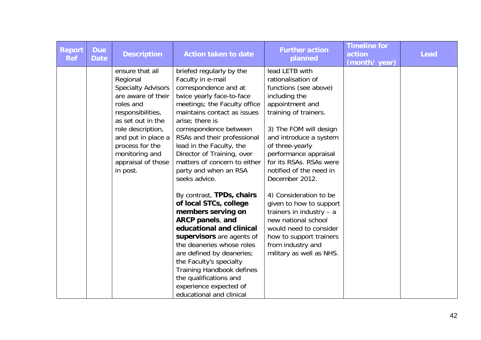| <b>Report</b><br><b>Ref</b> | <b>Due</b><br><b>Date</b> | <b>Description</b>                                                                                                                                                                                                                                      | <b>Action taken to date</b>                                                                                                                                                                                                                                                                                                                                                                                                                                                                                                                                                                                                                                                                                                                    | <b>Further action</b><br>planned                                                                                                                                                                                                                                                                                                                                                                                                                                                                                   | <b>Timeline for</b><br>action<br>(month/year) | <b>Lead</b> |
|-----------------------------|---------------------------|---------------------------------------------------------------------------------------------------------------------------------------------------------------------------------------------------------------------------------------------------------|------------------------------------------------------------------------------------------------------------------------------------------------------------------------------------------------------------------------------------------------------------------------------------------------------------------------------------------------------------------------------------------------------------------------------------------------------------------------------------------------------------------------------------------------------------------------------------------------------------------------------------------------------------------------------------------------------------------------------------------------|--------------------------------------------------------------------------------------------------------------------------------------------------------------------------------------------------------------------------------------------------------------------------------------------------------------------------------------------------------------------------------------------------------------------------------------------------------------------------------------------------------------------|-----------------------------------------------|-------------|
|                             |                           | ensure that all<br>Regional<br><b>Specialty Advisors</b><br>are aware of their<br>roles and<br>responsibilities,<br>as set out in the<br>role description,<br>and put in place a<br>process for the<br>monitoring and<br>appraisal of those<br>in post. | briefed regularly by the<br>Faculty in e-mail<br>correspondence and at<br>twice yearly face-to-face<br>meetings; the Faculty office<br>maintains contact as issues<br>arise; there is<br>correspondence between<br>RSAs and their professional<br>lead in the Faculty, the<br>Director of Training, over<br>matters of concern to either<br>party and when an RSA<br>seeks advice.<br>By contrast, TPDs, chairs<br>of local STCs, college<br>members serving on<br>ARCP panels, and<br>educational and clinical<br>supervisors are agents of<br>the deaneries whose roles<br>are defined by deaneries;<br>the Faculty's specialty<br>Training Handbook defines<br>the qualifications and<br>experience expected of<br>educational and clinical | lead LETB with<br>rationalisation of<br>functions (see above)<br>including the<br>appointment and<br>training of trainers.<br>3) The FOM will design<br>and introduce a system<br>of three-yearly<br>performance appraisal<br>for its RSAs. RSAs were<br>notified of the need in<br>December 2012.<br>4) Consideration to be<br>given to how to support<br>trainers in industry $-$ a<br>new national school<br>would need to consider<br>how to support trainers<br>from industry and<br>military as well as NHS. |                                               |             |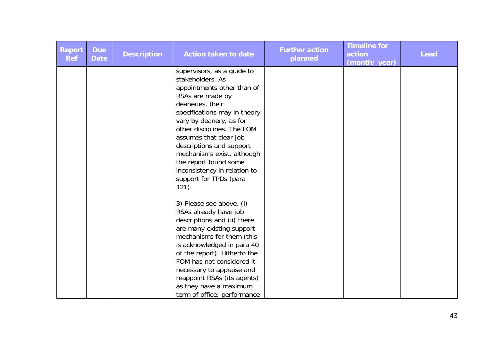| Report<br><b>Ref</b> | <b>Due</b><br><b>Date</b> | <b>Description</b> | <b>Action taken to date</b>                                                                                                                                                                                                                                                                                                                                                                      | <b>Further action</b><br>planned | <b>Timeline for</b><br>action<br>(month/year) | <b>Lead</b> |
|----------------------|---------------------------|--------------------|--------------------------------------------------------------------------------------------------------------------------------------------------------------------------------------------------------------------------------------------------------------------------------------------------------------------------------------------------------------------------------------------------|----------------------------------|-----------------------------------------------|-------------|
|                      |                           |                    | supervisors, as a guide to<br>stakeholders. As<br>appointments other than of<br>RSAs are made by<br>deaneries, their<br>specifications may in theory<br>vary by deanery, as for<br>other disciplines. The FOM<br>assumes that clear job<br>descriptions and support<br>mechanisms exist, although<br>the report found some<br>inconsistency in relation to<br>support for TPDs (para<br>$121$ ). |                                  |                                               |             |
|                      |                           |                    | 3) Please see above. (i)<br>RSAs already have job<br>descriptions and (ii) there<br>are many existing support<br>mechanisms for them (this<br>is acknowledged in para 40<br>of the report). Hitherto the<br>FOM has not considered it<br>necessary to appraise and<br>reappoint RSAs (its agents)<br>as they have a maximum<br>term of office; performance                                       |                                  |                                               |             |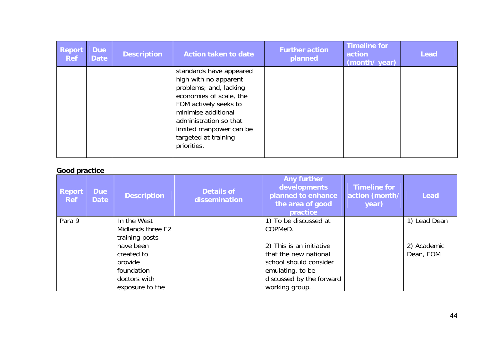| <b>Report</b><br><b>Ref</b> | <b>Due</b><br><b>Date</b> | <b>Description</b> | Action taken to date                                                                                                                                                                                                                              | <b>Further action</b><br>planned | <b>Timeline for</b><br>action<br>(month/ year) | <b>Lead</b> |
|-----------------------------|---------------------------|--------------------|---------------------------------------------------------------------------------------------------------------------------------------------------------------------------------------------------------------------------------------------------|----------------------------------|------------------------------------------------|-------------|
|                             |                           |                    | standards have appeared<br>high with no apparent<br>problems; and, lacking<br>economies of scale, the<br>FOM actively seeks to<br>minimise additional<br>administration so that<br>limited manpower can be<br>targeted at training<br>priorities. |                                  |                                                |             |

### **Good practice**

| <b>Report</b><br><b>Ref</b> | <b>Due</b><br><b>Date</b> | <b>Description</b>                                                                  | <b>Details of</b><br>dissemination | <b>Any further</b><br>developments<br>planned to enhance<br>the area of good<br>practice                                                      | <b>Timeline for</b><br>action (month/<br>year) | <b>Lead</b>              |
|-----------------------------|---------------------------|-------------------------------------------------------------------------------------|------------------------------------|-----------------------------------------------------------------------------------------------------------------------------------------------|------------------------------------------------|--------------------------|
| Para 9                      |                           | In the West<br>Midlands three F2<br>training posts                                  |                                    | 1) To be discussed at<br>COPMeD.                                                                                                              |                                                | 1) Lead Dean             |
|                             |                           | have been<br>created to<br>provide<br>foundation<br>doctors with<br>exposure to the |                                    | 2) This is an initiative<br>that the new national<br>school should consider<br>emulating, to be<br>discussed by the forward<br>working group. |                                                | 2) Academic<br>Dean, FOM |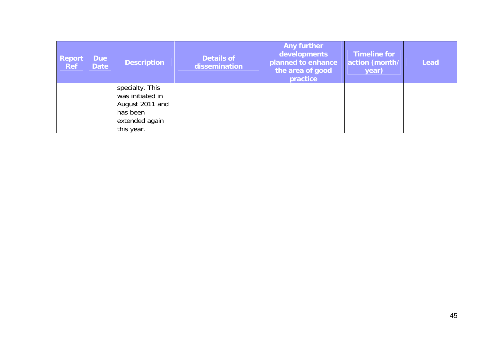| <b>Report</b><br><b>Ref</b> | <b>Due</b><br><b>Date</b> | <b>Description</b>                                                                                 | <b>Details of</b><br>dissemination | <b>Any further</b><br>developments<br>planned to enhance<br>the area of good<br>practice | <b>Timeline for</b><br>action (month/<br>year) | <b>Lead</b> |
|-----------------------------|---------------------------|----------------------------------------------------------------------------------------------------|------------------------------------|------------------------------------------------------------------------------------------|------------------------------------------------|-------------|
|                             |                           | specialty. This<br>was initiated in<br>August 2011 and<br>has been<br>extended again<br>this year. |                                    |                                                                                          |                                                |             |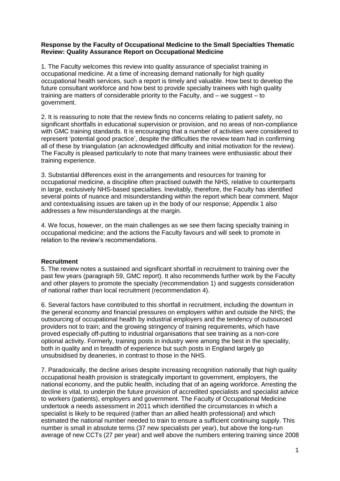#### **Response by the Faculty of Occupational Medicine to the Small Specialties Thematic Review: Quality Assurance Report on Occupational Medicine**

1. The Faculty welcomes this review into quality assurance of specialist training in occupational medicine. At a time of increasing demand nationally for high quality occupational health services, such a report is timely and valuable. How best to develop the future consultant workforce and how best to provide specialty trainees with high quality training are matters of considerable priority to the Faculty, and – we suggest – to government.

2. It is reassuring to note that the review finds no concerns relating to patient safety, no significant shortfalls in educational supervision or provision, and no areas of non-compliance with GMC training standards. It is encouraging that a number of activities were considered to represent "potential good practice", despite the difficulties the review team had in confirming all of these by triangulation (an acknowledged difficulty and initial motivation for the review). The Faculty is pleased particularly to note that many trainees were enthusiastic about their training experience.

3. Substantial differences exist in the arrangements and resources for training for occupational medicine, a discipline often practised outwith the NHS, relative to counterparts in large, exclusively NHS-based specialties. Inevitably, therefore, the Faculty has identified several points of nuance and misunderstanding within the report which bear comment. Major and contextualising issues are taken up in the body of our response; Appendix 1 also addresses a few misunderstandings at the margin.

4. We focus, however, on the main challenges as we see them facing specialty training in occupational medicine; and the actions the Faculty favours and will seek to promote in relation to the review"s recommendations.

### **Recruitment**

5. The review notes a sustained and significant shortfall in recruitment to training over the past few years (paragraph 59, GMC report). It also recommends further work by the Faculty and other players to promote the specialty (recommendation 1) and suggests consideration of national rather than local recruitment (recommendation 4).

6. Several factors have contributed to this shortfall in recruitment, including the downturn in the general economy and financial pressures on employers within and outside the NHS; the outsourcing of occupational health by industrial employers and the tendency of outsourced providers not to train; and the growing stringency of training requirements, which have proved especially off-putting to industrial organisations that see training as a non-core optional activity. Formerly, training posts in industry were among the best in the speciality, both in quality and in breadth of experience but such posts in England largely go unsubsidised by deaneries, in contrast to those in the NHS.

7. Paradoxically, the decline arises despite increasing recognition nationally that high quality occupational health provision is strategically important to government, employers, the national economy, and the public health, including that of an ageing workforce. Arresting the decline is vital, to underpin the future provision of accredited specialists and specialist advice to workers (patients), employers and government. The Faculty of Occupational Medicine undertook a needs assessment in 2011 which identified the circumstances in which a specialist is likely to be required (rather than an allied health professional) and which estimated the national number needed to train to ensure a sufficient continuing supply. This number is small in absolute terms (37 new specialists per year), but above the long-run average of new CCTs (27 per year) and well above the numbers entering training since 2008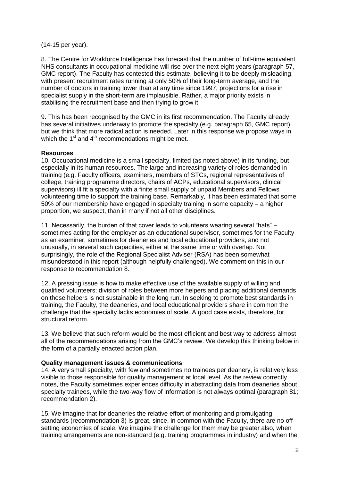#### (14-15 per year).

8. The Centre for Workforce Intelligence has forecast that the number of full-time equivalent NHS consultants in occupational medicine will rise over the next eight years (paragraph 57, GMC report). The Faculty has contested this estimate, believing it to be deeply misleading: with present recruitment rates running at only 50% of their long-term average, and the number of doctors in training lower than at any time since 1997, projections for a rise in specialist supply in the short-term are implausible. Rather, a major priority exists in stabilising the recruitment base and then trying to grow it.

9. This has been recognised by the GMC in its first recommendation. The Faculty already has several initiatives underway to promote the specialty (e.g. paragraph 65, GMC report), but we think that more radical action is needed. Later in this response we propose ways in which the 1<sup>st</sup> and 4<sup>th</sup> recommendations might be met.

### **Resources**

10. Occupational medicine is a small specialty, limited (as noted above) in its funding, but especially in its human resources. The large and increasing variety of roles demanded in training (e.g. Faculty officers, examiners, members of STCs, regional representatives of college, training programme directors, chairs of ACPs, educational supervisors, clinical supervisors) ill fit a specialty with a finite small supply of unpaid Members and Fellows volunteering time to support the training base. Remarkably, it has been estimated that some 50% of our membership have engaged in specialty training in some capacity – a higher proportion, we suspect, than in many if not all other disciplines.

11. Necessarily, the burden of that cover leads to volunteers wearing several "hats" – sometimes acting for the employer as an educational supervisor, sometimes for the Faculty as an examiner, sometimes for deaneries and local educational providers, and not unusually, in several such capacities, either at the same time or with overlap. Not surprisingly, the role of the Regional Specialist Adviser (RSA) has been somewhat misunderstood in this report (although helpfully challenged). We comment on this in our response to recommendation 8.

12. A pressing issue is how to make effective use of the available supply of willing and qualified volunteers; division of roles between more helpers and placing additional demands on those helpers is not sustainable in the long run. In seeking to promote best standards in training, the Faculty, the deaneries, and local educational providers share in common the challenge that the specialty lacks economies of scale. A good case exists, therefore, for structural reform.

13. We believe that such reform would be the most efficient and best way to address almost all of the recommendations arising from the GMC"s review. We develop this thinking below in the form of a partially enacted action plan.

### **Quality management issues & communications**

14. A very small specialty, with few and sometimes no trainees per deanery, is relatively less visible to those responsible for quality management at local level. As the review correctly notes, the Faculty sometimes experiences difficulty in abstracting data from deaneries about specialty trainees, while the two-way flow of information is not always optimal (paragraph 81; recommendation 2).

15. We imagine that for deaneries the relative effort of monitoring and promulgating standards (recommendation 3) is great, since, in common with the Faculty, there are no offsetting economies of scale. We imagine the challenge for them may be greater also, when training arrangements are non-standard (e.g. training programmes in industry) and when the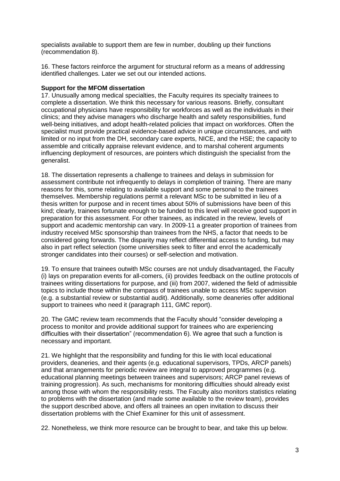specialists available to support them are few in number, doubling up their functions (recommendation 8).

16. These factors reinforce the argument for structural reform as a means of addressing identified challenges. Later we set out our intended actions.

#### **Support for the MFOM dissertation**

17. Unusually among medical specialties, the Faculty requires its specialty trainees to complete a dissertation. We think this necessary for various reasons. Briefly, consultant occupational physicians have responsibility for workforces as well as the individuals in their clinics; and they advise managers who discharge health and safety responsibilities, fund well-being initiatives, and adopt health-related policies that impact on workforces. Often the specialist must provide practical evidence-based advice in unique circumstances, and with limited or no input from the DH, secondary care experts, NICE, and the HSE; the capacity to assemble and critically appraise relevant evidence, and to marshal coherent arguments influencing deployment of resources, are pointers which distinguish the specialist from the generalist.

18. The dissertation represents a challenge to trainees and delays in submission for assessment contribute not infrequently to delays in completion of training. There are many reasons for this, some relating to available support and some personal to the trainees themselves. Membership regulations permit a relevant MSc to be submitted in lieu of a thesis written for purpose and in recent times about 50% of submissions have been of this kind; clearly, trainees fortunate enough to be funded to this level will receive good support in preparation for this assessment. For other trainees, as indicated in the review, levels of support and academic mentorship can vary. In 2009-11 a greater proportion of trainees from industry received MSc sponsorship than trainees from the NHS, a factor that needs to be considered going forwards. The disparity may reflect differential access to funding, but may also in part reflect selection (some universities seek to filter and enrol the academically stronger candidates into their courses) or self-selection and motivation.

19. To ensure that trainees outwith MSc courses are not unduly disadvantaged, the Faculty (i) lays on preparation events for all-comers, (ii) provides feedback on the outline protocols of trainees writing dissertations for purpose, and (iii) from 2007, widened the field of admissible topics to include those within the compass of trainees unable to access MSc supervision (e.g. a substantial review or substantial audit). Additionally, some deaneries offer additional support to trainees who need it (paragraph 111, GMC report).

20. The GMC review team recommends that the Faculty should "consider developing a process to monitor and provide additional support for trainees who are experiencing difficulties with their dissertation" (recommendation 6). We agree that such a function is necessary and important.

21. We highlight that the responsibility and funding for this lie with local educational providers, deaneries, and their agents (e.g. educational supervisors, TPDs, ARCP panels) and that arrangements for periodic review are integral to approved programmes (e.g. educational planning meetings between trainees and supervisors; ARCP panel reviews of training progression). As such, mechanisms for monitoring difficulties should already exist among those with whom the responsibility rests. The Faculty also monitors statistics relating to problems with the dissertation (and made some available to the review team), provides the support described above, and offers all trainees an open invitation to discuss their dissertation problems with the Chief Examiner for this unit of assessment.

22. Nonetheless, we think more resource can be brought to bear, and take this up below.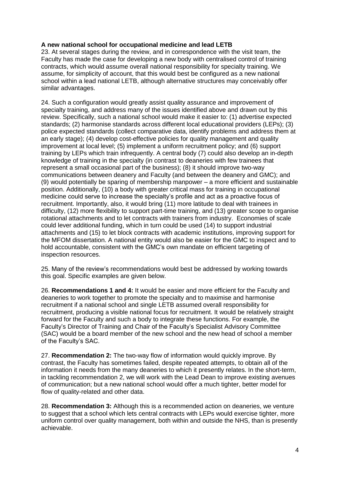### **A new national school for occupational medicine and lead LETB**

23. At several stages during the review, and in correspondence with the visit team, the Faculty has made the case for developing a new body with centralised control of training contracts, which would assume overall national responsibility for specialty training. We assume, for simplicity of account, that this would best be configured as a new national school within a lead national LETB, although alternative structures may conceivably offer similar advantages.

24. Such a configuration would greatly assist quality assurance and improvement of specialty training, and address many of the issues identified above and drawn out by this review. Specifically, such a national school would make it easier to: (1) advertise expected standards; (2) harmonise standards across different local educational providers (LEPs); (3) police expected standards (collect comparative data, identify problems and address them at an early stage); (4) develop cost-effective policies for quality management and quality improvement at local level; (5) implement a uniform recruitment policy; and (6) support training by LEPs which train infrequently. A central body (7) could also develop an in-depth knowledge of training in the specialty (in contrast to deaneries with few trainees that represent a small occasional part of the business); (8) it should improve two-way communications between deanery and Faculty (and between the deanery and GMC); and (9) would potentially be sparing of membership manpower – a more efficient and sustainable position. Additionally, (10) a body with greater critical mass for training in occupational medicine could serve to increase the specialty"s profile and act as a proactive focus of recruitment. Importantly, also, it would bring (11) more latitude to deal with trainees in difficulty, (12) more flexibility to support part-time training, and (13) greater scope to organise rotational attachments and to let contracts with trainers from industry. Economies of scale could lever additional funding, which in turn could be used (14) to support industrial attachments and (15) to let block contracts with academic institutions, improving support for the MFOM dissertation. A national entity would also be easier for the GMC to inspect and to hold accountable, consistent with the GMC"s own mandate on efficient targeting of inspection resources.

25. Many of the review"s recommendations would best be addressed by working towards this goal. Specific examples are given below.

26. **Recommendations 1 and 4:** It would be easier and more efficient for the Faculty and deaneries to work together to promote the specialty and to maximise and harmonise recruitment if a national school and single LETB assumed overall responsibility for recruitment, producing a visible national focus for recruitment. It would be relatively straight forward for the Faculty and such a body to integrate these functions. For example, the Faculty"s Director of Training and Chair of the Faculty"s Specialist Advisory Committee (SAC) would be a board member of the new school and the new head of school a member of the Faculty"s SAC.

27. **Recommendation 2:** The two-way flow of information would quickly improve. By contrast, the Faculty has sometimes failed, despite repeated attempts, to obtain all of the information it needs from the many deaneries to which it presently relates. In the short-term, in tackling recommendation 2, we will work with the Lead Dean to improve existing avenues of communication; but a new national school would offer a much tighter, better model for flow of quality-related and other data.

28. **Recommendation 3:** Although this is a recommended action on deaneries, we venture to suggest that a school which lets central contracts with LEPs would exercise tighter, more uniform control over quality management, both within and outside the NHS, than is presently achievable.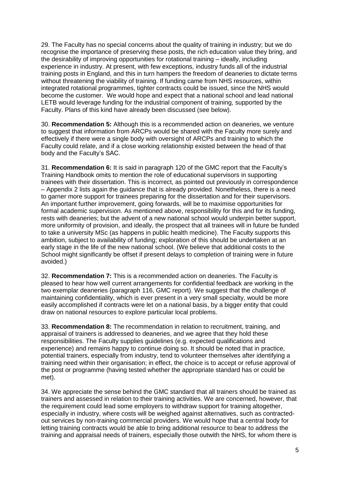29. The Faculty has no special concerns about the quality of training in industry; but we do recognise the importance of preserving these posts, the rich education value they bring, and the desirability of improving opportunities for rotational training – ideally, including experience in industry. At present, with few exceptions, industry funds all of the industrial training posts in England, and this in turn hampers the freedom of deaneries to dictate terms without threatening the viability of training. If funding came from NHS resources, within integrated rotational programmes, tighter contracts could be issued, since the NHS would become the customer. We would hope and expect that a national school and lead national LETB would leverage funding for the industrial component of training, supported by the Faculty. Plans of this kind have already been discussed (see below).

30. **Recommendation 5:** Although this is a recommended action on deaneries, we venture to suggest that information from ARCPs would be shared with the Faculty more surely and effectively if there were a single body with oversight of ARCPs and training to which the Faculty could relate, and if a close working relationship existed between the head of that body and the Faculty"s SAC.

31. **Recommendation 6:** It is said in paragraph 120 of the GMC report that the Faculty"s Training Handbook omits to mention the role of educational supervisors in supporting trainees with their dissertation. This is incorrect, as pointed out previously in correspondence – Appendix 2 lists again the guidance that is already provided. Nonetheless, there is a need to garner more support for trainees preparing for the dissertation and for their supervisors. An important further improvement, going forwards, will be to maximise opportunities for formal academic supervision. As mentioned above, responsibility for this and for its funding, rests with deaneries; but the advent of a new national school would underpin better support, more uniformity of provision, and ideally, the prospect that all trainees will in future be funded to take a university MSc (as happens in public health medicine). The Faculty supports this ambition, subject to availability of funding; exploration of this should be undertaken at an early stage in the life of the new national school. (We believe that additional costs to the School might significantly be offset if present delays to completion of training were in future avoided.)

32. **Recommendation 7:** This is a recommended action on deaneries. The Faculty is pleased to hear how well current arrangements for confidential feedback are working in the two exemplar deaneries (paragraph 116, GMC report). We suggest that the challenge of maintaining confidentiality, which is ever present in a very small specialty, would be more easily accomplished if contracts were let on a national basis, by a bigger entity that could draw on national resources to explore particular local problems.

33. **Recommendation 8:** The recommendation in relation to recruitment, training, and appraisal of trainers is addressed to deaneries, and we agree that they hold these responsibilities. The Faculty supplies guidelines (e.g. expected qualifications and experience) and remains happy to continue doing so. It should be noted that in practice, potential trainers, especially from industry, tend to volunteer themselves after identifying a training need within their organisation; in effect, the choice is to accept or refuse approval of the post or programme (having tested whether the appropriate standard has or could be met).

34. We appreciate the sense behind the GMC standard that all trainers should be trained as trainers and assessed in relation to their training activities. We are concerned, however, that the requirement could lead some employers to withdraw support for training altogether, especially in industry, where costs will be weighed against alternatives, such as contractedout services by non-training commercial providers. We would hope that a central body for letting training contracts would be able to bring additional resource to bear to address the training and appraisal needs of trainers, especially those outwith the NHS, for whom there is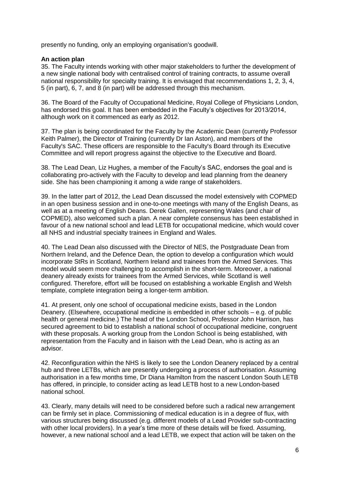presently no funding, only an employing organisation's goodwill.

#### **An action plan**

35. The Faculty intends working with other major stakeholders to further the development of a new single national body with centralised control of training contracts, to assume overall national responsibility for specialty training. It is envisaged that recommendations 1, 2, 3, 4, 5 (in part), 6, 7, and 8 (in part) will be addressed through this mechanism.

36. The Board of the Faculty of Occupational Medicine, Royal College of Physicians London, has endorsed this goal. It has been embedded in the Faculty's objectives for 2013/2014, although work on it commenced as early as 2012.

37. The plan is being coordinated for the Faculty by the Academic Dean (currently Professor Keith Palmer), the Director of Training (currently Dr Ian Aston), and members of the Faculty's SAC. These officers are responsible to the Faculty's Board through its Executive Committee and will report progress against the objective to the Executive and Board.

38. The Lead Dean, Liz Hughes, a member of the Faculty"s SAC, endorses the goal and is collaborating pro-actively with the Faculty to develop and lead planning from the deanery side. She has been championing it among a wide range of stakeholders.

39. In the latter part of 2012, the Lead Dean discussed the model extensively with COPMED in an open business session and in one-to-one meetings with many of the English Deans, as well as at a meeting of English Deans. Derek Gallen, representing Wales (and chair of COPMED), also welcomed such a plan. A near complete consensus has been established in favour of a new national school and lead LETB for occupational medicine, which would cover all NHS and industrial specialty trainees in England and Wales.

40. The Lead Dean also discussed with the Director of NES, the Postgraduate Dean from Northern Ireland, and the Defence Dean, the option to develop a configuration which would incorporate StRs in Scotland, Northern Ireland and trainees from the Armed Services. This model would seem more challenging to accomplish in the short-term. Moreover, a national deanery already exists for trainees from the Armed Services, while Scotland is well configured. Therefore, effort will be focused on establishing a workable English and Welsh template, complete integration being a longer-term ambition.

41. At present, only one school of occupational medicine exists, based in the London Deanery. (Elsewhere, occupational medicine is embedded in other schools – e.g. of public health or general medicine.) The head of the London School, Professor John Harrison, has secured agreement to bid to establish a national school of occupational medicine, congruent with these proposals. A working group from the London School is being established, with representation from the Faculty and in liaison with the Lead Dean, who is acting as an advisor.

42. Reconfiguration within the NHS is likely to see the London Deanery replaced by a central hub and three LETBs, which are presently undergoing a process of authorisation. Assuming authorisation in a few months time, Dr Diana Hamilton from the nascent London South LETB has offered, in principle, to consider acting as lead LETB host to a new London-based national school.

43. Clearly, many details will need to be considered before such a radical new arrangement can be firmly set in place. Commissioning of medical education is in a degree of flux, with various structures being discussed (e.g. different models of a Lead Provider sub-contracting with other local providers). In a year"s time more of these details will be fixed. Assuming, however, a new national school and a lead LETB, we expect that action will be taken on the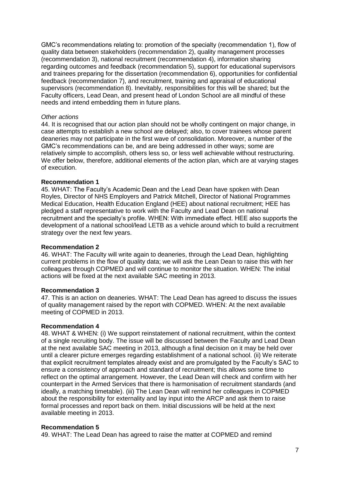GMC"s recommendations relating to: promotion of the specialty (recommendation 1), flow of quality data between stakeholders (recommendation 2), quality management processes (recommendation 3), national recruitment (recommendation 4), information sharing regarding outcomes and feedback (recommendation 5), support for educational supervisors and trainees preparing for the dissertation (recommendation 6), opportunities for confidential feedback (recommendation 7), and recruitment, training and appraisal of educational supervisors (recommendation 8). Inevitably, responsibilities for this will be shared; but the Faculty officers, Lead Dean, and present head of London School are all mindful of these needs and intend embedding them in future plans.

#### *Other actions*

44. It is recognised that our action plan should not be wholly contingent on major change, in case attempts to establish a new school are delayed; also, to cover trainees whose parent deaneries may not participate in the first wave of consolidation. Moreover, a number of the GMC"s recommendations can be, and are being addressed in other ways; some are relatively simple to accomplish, others less so, or less well achievable without restructuring. We offer below, therefore, additional elements of the action plan, which are at varying stages of execution.

#### **Recommendation 1**

45. WHAT: The Faculty"s Academic Dean and the Lead Dean have spoken with Dean Royles, Director of NHS Employers and Patrick Mitchell, Director of National Programmes Medical Education, Health Education England (HEE) about national recruitment; HEE has pledged a staff representative to work with the Faculty and Lead Dean on national recruitment and the specialty"s profile. WHEN: With immediate effect. HEE also supports the development of a national school/lead LETB as a vehicle around which to build a recruitment strategy over the next few years.

#### **Recommendation 2**

46. WHAT: The Faculty will write again to deaneries, through the Lead Dean, highlighting current problems in the flow of quality data; we will ask the Lean Dean to raise this with her colleagues through COPMED and will continue to monitor the situation. WHEN: The initial actions will be fixed at the next available SAC meeting in 2013.

#### **Recommendation 3**

47. This is an action on deaneries. WHAT: The Lead Dean has agreed to discuss the issues of quality management raised by the report with COPMED. WHEN: At the next available meeting of COPMED in 2013.

#### **Recommendation 4**

48. WHAT & WHEN: (i) We support reinstatement of national recruitment, within the context of a single recruiting body. The issue will be discussed between the Faculty and Lead Dean at the next available SAC meeting in 2013, although a final decision on it may be held over until a clearer picture emerges regarding establishment of a national school. (ii) We reiterate that explicit recruitment templates already exist and are promulgated by the Faculty"s SAC to ensure a consistency of approach and standard of recruitment; this allows some time to reflect on the optimal arrangement. However, the Lead Dean will check and confirm with her counterpart in the Armed Services that there is harmonisation of recruitment standards (and ideally, a matching timetable). (iii) The Lean Dean will remind her colleagues in COPMED about the responsibility for externality and lay input into the ARCP and ask them to raise formal processes and report back on them. Initial discussions will be held at the next available meeting in 2013.

### **Recommendation 5**

49. WHAT: The Lead Dean has agreed to raise the matter at COPMED and remind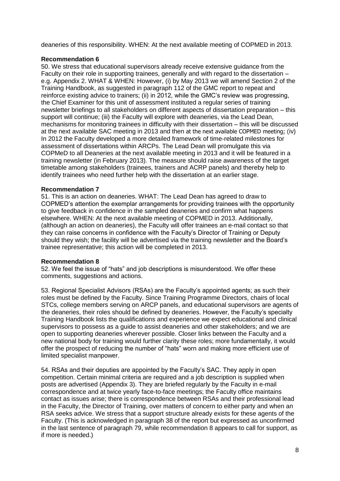deaneries of this responsibility. WHEN: At the next available meeting of COPMED in 2013.

### **Recommendation 6**

50. We stress that educational supervisors already receive extensive guidance from the Faculty on their role in supporting trainees, generally and with regard to the dissertation – e.g. Appendix 2. WHAT & WHEN: However, (i) by May 2013 we will amend Section 2 of the Training Handbook, as suggested in paragraph 112 of the GMC report to repeat and reinforce existing advice to trainers; (ii) in 2012, while the GMC's review was progressing, the Chief Examiner for this unit of assessment instituted a regular series of training newsletter briefings to all stakeholders on different aspects of dissertation preparation – this support will continue; (iii) the Faculty will explore with deaneries, via the Lead Dean, mechanisms for monitoring trainees in difficulty with their dissertation – this will be discussed at the next available SAC meeting in 2013 and then at the next available COPMED meeting; (iv) In 2012 the Faculty developed a more detailed framework of time-related milestones for assessment of dissertations within ARCPs. The Lead Dean will promulgate this via COPMeD to all Deaneries at the next available meeting in 2013 and it will be featured in a training newsletter (in February 2013). The measure should raise awareness of the target timetable among stakeholders (trainees, trainers and ACRP panels) and thereby help to identify trainees who need further help with the dissertation at an earlier stage.

### **Recommendation 7**

51. This is an action on deaneries. WHAT: The Lead Dean has agreed to draw to COPMED"s attention the exemplar arrangements for providing trainees with the opportunity to give feedback in confidence in the sampled deaneries and confirm what happens elsewhere. WHEN: At the next available meeting of COPMED in 2013. Additionally, (although an action on deaneries), the Faculty will offer trainees an e-mail contact so that they can raise concerns in confidence with the Faculty"s Director of Training or Deputy should they wish; the facility will be advertised via the training newsletter and the Board"s trainee representative; this action will be completed in 2013.

### **Recommendation 8**

52. We feel the issue of "hats" and job descriptions is misunderstood. We offer these comments, suggestions and actions.

53. Regional Specialist Advisors (RSAs) are the Faculty"s appointed agents; as such their roles must be defined by the Faculty. Since Training Programme Directors, chairs of local STCs, college members serving on ARCP panels, and educational supervisors are agents of the deaneries, their roles should be defined by deaneries. However, the Faculty"s specialty Training Handbook lists the qualifications and experience we expect educational and clinical supervisors to possess as a guide to assist deaneries and other stakeholders; and we are open to supporting deaneries wherever possible. Closer links between the Faculty and a new national body for training would further clarity these roles; more fundamentally, it would offer the prospect of reducing the number of "hats" worn and making more efficient use of limited specialist manpower.

54. RSAs and their deputies are appointed by the Faculty"s SAC. They apply in open competition. Certain minimal criteria are required and a job description is supplied when posts are advertised (Appendix 3). They are briefed regularly by the Faculty in e-mail correspondence and at twice yearly face-to-face meetings; the Faculty office maintains contact as issues arise; there is correspondence between RSAs and their professional lead in the Faculty, the Director of Training, over matters of concern to either party and when an RSA seeks advice. We stress that a support structure already exists for these agents of the Faculty. (This is acknowledged in paragraph 38 of the report but expressed as unconfirmed in the last sentence of paragraph 79, while recommendation 8 appears to call for support, as if more is needed.)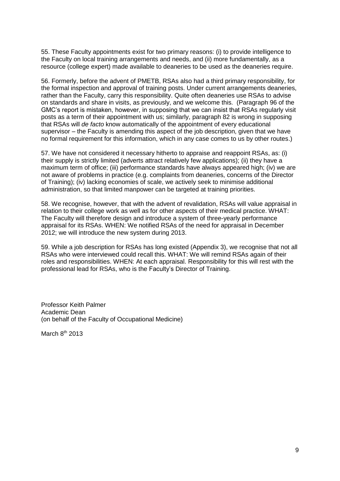55. These Faculty appointments exist for two primary reasons: (i) to provide intelligence to the Faculty on local training arrangements and needs, and (ii) more fundamentally, as a resource (college expert) made available to deaneries to be used as the deaneries require.

56. Formerly, before the advent of PMETB, RSAs also had a third primary responsibility, for the formal inspection and approval of training posts. Under current arrangements deaneries, rather than the Faculty, carry this responsibility. Quite often deaneries use RSAs to advise on standards and share in visits, as previously, and we welcome this. (Paragraph 96 of the GMC"s report is mistaken, however, in supposing that we can insist that RSAs regularly visit posts as a term of their appointment with us; similarly, paragraph 82 is wrong in supposing that RSAs will *de facto* know automatically of the appointment of every educational supervisor – the Faculty is amending this aspect of the job description, given that we have no formal requirement for this information, which in any case comes to us by other routes.)

57. We have not considered it necessary hitherto to appraise and reappoint RSAs, as: (i) their supply is strictly limited (adverts attract relatively few applications); (ii) they have a maximum term of office; (iii) performance standards have always appeared high; (iv) we are not aware of problems in practice (e.g. complaints from deaneries, concerns of the Director of Training); (iv) lacking economies of scale, we actively seek to minimise additional administration, so that limited manpower can be targeted at training priorities.

58. We recognise, however, that with the advent of revalidation, RSAs will value appraisal in relation to their college work as well as for other aspects of their medical practice. WHAT: The Faculty will therefore design and introduce a system of three-yearly performance appraisal for its RSAs. WHEN: We notified RSAs of the need for appraisal in December 2012; we will introduce the new system during 2013.

59. While a job description for RSAs has long existed (Appendix 3), we recognise that not all RSAs who were interviewed could recall this. WHAT: We will remind RSAs again of their roles and responsibilities. WHEN: At each appraisal. Responsibility for this will rest with the professional lead for RSAs, who is the Faculty"s Director of Training.

Professor Keith Palmer Academic Dean (on behalf of the Faculty of Occupational Medicine)

March 8<sup>th</sup> 2013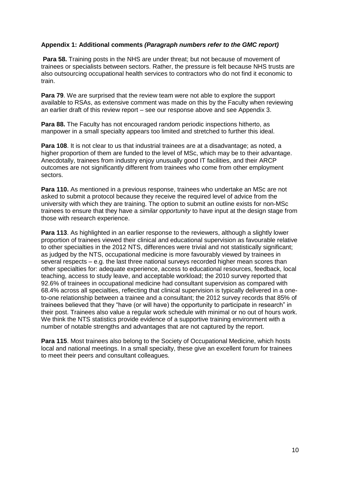### **Appendix 1: Additional comments** *(Paragraph numbers refer to the GMC report)*

**Para 58.** Training posts in the NHS are under threat; but not because of movement of trainees or specialists between sectors. Rather, the pressure is felt because NHS trusts are also outsourcing occupational health services to contractors who do not find it economic to train.

**Para 79**. We are surprised that the review team were not able to explore the support available to RSAs, as extensive comment was made on this by the Faculty when reviewing an earlier draft of this review report – see our response above and see Appendix 3.

**Para 88.** The Faculty has not encouraged random periodic inspections hitherto, as manpower in a small specialty appears too limited and stretched to further this ideal.

**Para 108**. It is not clear to us that industrial trainees are at a disadvantage; as noted, a higher proportion of them are funded to the level of MSc, which may be to their advantage. Anecdotally, trainees from industry enjoy unusually good IT facilities, and their ARCP outcomes are not significantly different from trainees who come from other employment sectors.

**Para 110.** As mentioned in a previous response, trainees who undertake an MSc are not asked to submit a protocol because they receive the required level of advice from the university with which they are training. The option to submit an outline exists for non-MSc trainees to ensure that they have a *similar opportunity* to have input at the design stage from those with research experience.

**Para 113.** As highlighted in an earlier response to the reviewers, although a slightly lower proportion of trainees viewed their clinical and educational supervision as favourable relative to other specialties in the 2012 NTS, differences were trivial and not statistically significant; as judged by the NTS, occupational medicine is more favourably viewed by trainees in several respects – e.g. the last three national surveys recorded higher mean scores than other specialties for: adequate experience, access to educational resources, feedback, local teaching, access to study leave, and acceptable workload; the 2010 survey reported that 92.6% of trainees in occupational medicine had consultant supervision as compared with 68.4% across all specialties, reflecting that clinical supervision is typically delivered in a oneto-one relationship between a trainee and a consultant; the 2012 survey records that 85% of trainees believed that they "have (or will have) the opportunity to participate in research" in their post. Trainees also value a regular work schedule with minimal or no out of hours work. We think the NTS statistics provide evidence of a supportive training environment with a number of notable strengths and advantages that are not captured by the report.

**Para 115**. Most trainees also belong to the Society of Occupational Medicine, which hosts local and national meetings. In a small specialty, these give an excellent forum for trainees to meet their peers and consultant colleagues.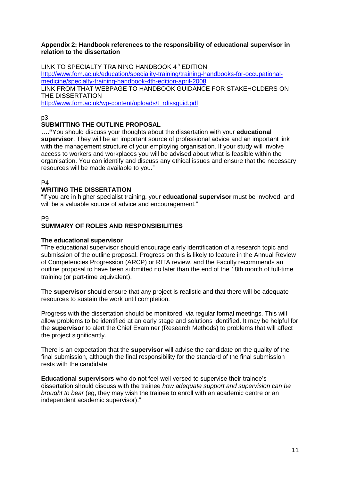#### **Appendix 2: Handbook references to the responsibility of educational supervisor in relation to the dissertation**

LINK TO SPECIALTY TRAINING HANDBOOK 4<sup>th</sup> EDITION [http://www.fom.ac.uk/education/speciality-training/training-handbooks-for-occupational](http://www.fom.ac.uk/education/speciality-training/training-handbooks-for-occupational-medicine/specialty-training-handbook-4th-edition-april-2008)[medicine/specialty-training-handbook-4th-edition-april-2008](http://www.fom.ac.uk/education/speciality-training/training-handbooks-for-occupational-medicine/specialty-training-handbook-4th-edition-april-2008) LINK FROM THAT WEBPAGE TO HANDBOOK GUIDANCE FOR STAKEHOLDERS ON THE DISSERTATION [http://www.fom.ac.uk/wp-content/uploads/t\\_rdissguid.pdf](http://www.fom.ac.uk/wp-content/uploads/t_rdissguid.pdf)

p3

### **SUBMITTING THE OUTLINE PROPOSAL**

**…."**You should discuss your thoughts about the dissertation with your **educational supervisor**. They will be an important source of professional advice and an important link with the management structure of your employing organisation. If your study will involve access to workers and workplaces you will be advised about what is feasible within the organisation. You can identify and discuss any ethical issues and ensure that the necessary resources will be made available to you."

P4

### **WRITING THE DISSERTATION**

"If you are in higher specialist training, your **educational supervisor** must be involved, and will be a valuable source of advice and encouragement."

P9

### **SUMMARY OF ROLES AND RESPONSIBILITIES**

### **The educational supervisor**

"The educational supervisor should encourage early identification of a research topic and submission of the outline proposal. Progress on this is likely to feature in the Annual Review of Competencies Progression (ARCP) or RITA review, and the Faculty recommends an outline proposal to have been submitted no later than the end of the 18th month of full‐time training (or part‐time equivalent).

The **supervisor** should ensure that any project is realistic and that there will be adequate resources to sustain the work until completion.

Progress with the dissertation should be monitored, via regular formal meetings. This will allow problems to be identified at an early stage and solutions identified. It may be helpful for the **supervisor** to alert the Chief Examiner (Research Methods) to problems that will affect the project significantly.

There is an expectation that the **supervisor** will advise the candidate on the quality of the final submission, although the final responsibility for the standard of the final submission rests with the candidate.

**Educational supervisors** who do not feel well versed to supervise their trainee"s dissertation should discuss with the trainee *how adequate support and supervision can be brought to bear* (eg, they may wish the trainee to enroll with an academic centre or an independent academic supervisor)."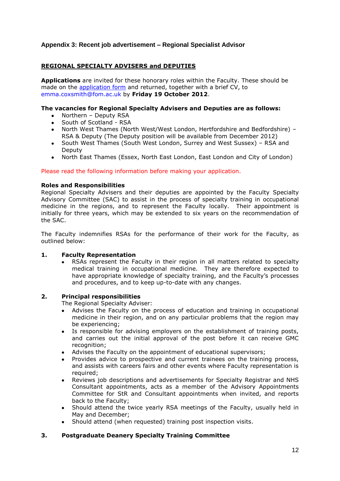### **Appendix 3: Recent job advertisement – Regional Specialist Advisor**

### **REGIONAL SPECIALTY ADVISERS and DEPUTIES**

**Applications** are invited for these honorary roles within the Faculty. These should be made on the [application form](../../../../Website/Phewinternet%20site%202012/Forms/fomgenappform2012.doc) and returned, together with a brief CV, to emma.coxsmith@fom.ac.uk by **Friday 19 October 2012**.

#### **The vacancies for Regional Specialty Advisers and Deputies are as follows:**

- Northern Deputy RSA  $\bullet$
- $\bullet$ South of Scotland - RSA
- North West Thames (North West/West London, Hertfordshire and Bedfordshire) RSA & Deputy (The Deputy position will be available from December 2012)
- South West Thames (South West London, Surrey and West Sussex) RSA and Deputy
- North East Thames (Essex, North East London, East London and City of London)  $\bullet$

Please read the following information before making your application.

#### **Roles and Responsibilities**

Regional Specialty Advisers and their deputies are appointed by the Faculty Specialty Advisory Committee (SAC) to assist in the process of specialty training in occupational medicine in the regions, and to represent the Faculty locally. Their appointment is initially for three years, which may be extended to six years on the recommendation of the SAC.

The Faculty indemnifies RSAs for the performance of their work for the Faculty, as outlined below:

#### **1. Faculty Representation**

RSAs represent the Faculty in their region in all matters related to specialty medical training in occupational medicine. They are therefore expected to have appropriate knowledge of specialty training, and the Faculty's processes and procedures, and to keep up-to-date with any changes.

#### **2. Principal responsibilities**

The Regional Specialty Adviser:

- Advises the Faculty on the process of education and training in occupational medicine in their region, and on any particular problems that the region may be experiencing;
- Is responsible for advising employers on the establishment of training posts, and carries out the initial approval of the post before it can receive GMC recognition;
- Advises the Faculty on the appointment of educational supervisors;
- Provides advice to prospective and current trainees on the training process, and assists with careers fairs and other events where Faculty representation is required;
- Reviews job descriptions and advertisements for Specialty Registrar and NHS Consultant appointments, acts as a member of the Advisory Appointments Committee for StR and Consultant appointments when invited, and reports back to the Faculty;
- Should attend the twice yearly RSA meetings of the Faculty, usually held in May and December;
- Should attend (when requested) training post inspection visits.

### **3. Postgraduate Deanery Specialty Training Committee**